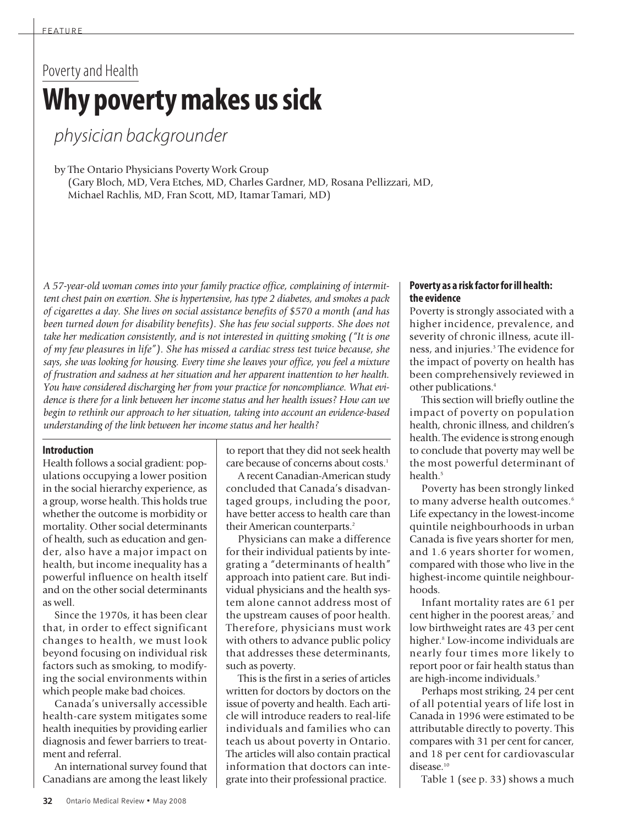# Poverty and Health **Why povertymakes ussick**

physician backgrounder

by The Ontario Physicians Poverty Work Group

(Gary Bloch, MD, Vera Etches, MD, Charles Gardner, MD, Rosana Pellizzari, MD, Michael Rachlis, MD, Fran Scott, MD, Itamar Tamari, MD)

*A 57-year-old woman comes into your family practice office, complaining of intermittent chest pain on exertion. She is hypertensive, has type 2 diabetes, and smokes a pack of cigarettes a day. She lives on social assistance benefits of \$570 a month (and has been turned down for disability benefits). She has few social supports. She does not take her medication consistently, and is not interested in quitting smoking ("It is one of my few pleasures in life"). She has missed a cardiac stress test twice because, she says, she was looking for housing. Every time she leaves your office, you feel a mixture of frustration and sadness at her situation and her apparent inattention to her health. You have considered discharging her from your practice for noncompliance. What evidence is there for a link between her income status and her health issues? How can we begin to rethink our approach to her situation, taking into account an evidence-based understanding of the link between her income status and her health?*

### **Introduction**

Health follows a social gradient: populations occupying a lower position in the social hierarchy experience, as a group, worse health. This holds true whether the outcome is morbidity or mortality. Other social determinants of health, such as education and gender, also have a major impact on health, but income inequality has a powerful influence on health itself and on the other social determinants as well.

Since the 1970s, it has been clear that, in order to effect significant changes to health, we must look beyond focusing on individual risk factors such as smoking, to modifying the social environments within which people make bad choices.

Canada's universally accessible health-care system mitigates some health inequities by providing earlier diagnosis and fewer barriers to treatment and referral.

An international survey found that Canadians are among the least likely

to report that they did not seek health care because of concerns about costs. 1

A recent Canadian-American study concluded that Canada's disadvantaged groups, including the poor, have better access to health care than their American counterparts. 2

Physicians can make a difference for their individual patients by integrating a "determinants of health" approach into patient care. But individual physicians and the health system alone cannot address most of the upstream causes of poor health. Therefore, physicians must work with others to advance public policy that addresses these determinants, such as poverty.

This is the first in a series of articles written for doctors by doctors on the issue of poverty and health. Each article will introduce readers to real-life individuals and families who can teach us about poverty in Ontario. The articles will also contain practical information that doctors can integrate into their professional practice.

### **Poverty as a risk factorforill health: the evidence**

Poverty is strongly associated with a higher incidence, prevalence, and severity of chronic illness, acute illness, and injuries. <sup>3</sup> The evidence for the impact of poverty on health has been comprehensively reviewed in other publications. 4

This section will briefly outline the impact of poverty on population health, chronic illness, and children's health. The evidence is strong enough to conclude that poverty may well be the most powerful determinant of health. 5

Poverty has been strongly linked to many adverse health outcomes. 6 Life expectancy in the lowest-income quintile neighbourhoods in urban Canada is five years shorter for men, and 1.6 years shorter for women, compared with those who live in the highest-income quintile neighbourhoods.

Infant mortality rates are 61 per cent higher in the poorest areas, <sup>7</sup> and low birthweight rates are 43 per cent higher. <sup>8</sup> Low-income individuals are nearly four times more likely to report poor or fair health status than are high-income individuals. 9

Perhaps most striking, 24 per cent of all potential years of life lost in Canada in 1996 were estimated to be attributable directly to poverty. This compares with 31 per cent for cancer, and 18 per cent for cardiovascular disease. 10

Table 1 (see p. 33) shows a much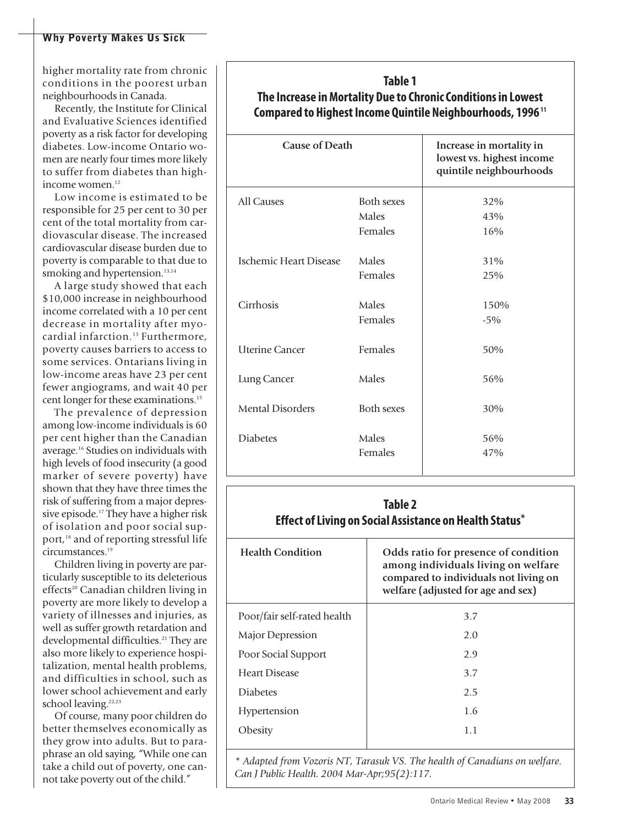higher mortality rate from chronic conditions in the poorest urban neighbourhoods in Canada.

Recently, the Institute for Clinical and Evaluative Sciences identified poverty as a risk factor for developing diabetes. Low-income Ontario women are nearly four times more likely to suffer from diabetes than highincome women. 12

Low income is estimated to be responsible for 25 per cent to 30 per cent of the total mortality from cardiovascular disease. The increased cardiovascular disease burden due to poverty is comparable to that due to smoking and hypertension.<sup>13,14</sup>

A large study showed that each \$10,000 increase in neighbourhood income correlated with a 10 per cent decrease in mortality after myocardial infarction. <sup>15</sup> Furthermore, poverty causes barriers to access to some services. Ontarians living in low-income areas have 23 per cent fewer angiograms, and wait 40 per cent longer for these examinations. 15

The prevalence of depression among low-income individuals is 60 per cent higher than the Canadian average. <sup>16</sup> Studies on individuals with high levels of food insecurity (a good marker of severe poverty) have shown that they have three times the risk of suffering from a major depressive episode. <sup>17</sup> They have a higher risk of isolation and poor social support, <sup>18</sup> and of reporting stressful life circumstances. 19

Children living in poverty are particularly susceptible to its deleterious effects<sup>20</sup> Canadian children living in poverty are more likely to develop a variety of illnesses and injuries, as well as suffer growth retardation and developmental difficulties. <sup>21</sup> They are also more likely to experience hospitalization, mental health problems, and difficulties in school, such as lower school achievement and early school leaving.<sup>22,23</sup>

Of course, many poor children do better themselves economically as they grow into adults. But to paraphrase an old saying, "While one can take a child out of poverty, one cannot take poverty out of the child."

## **Table 1 The Increase inMortality Due to ChronicConditionsin Lowest Compared to Highest Income Quintile Neighbourhoods, 1996<sup>11</sup>**

| <b>Cause of Death</b>   |                   | Increase in mortality in<br>lowest vs. highest income<br>quintile neighbourhoods |
|-------------------------|-------------------|----------------------------------------------------------------------------------|
| All Causes              | <b>Both sexes</b> | 32%                                                                              |
|                         | Males             | 43%                                                                              |
|                         | Females           | 16%                                                                              |
| Ischemic Heart Disease  | Males             | 31%                                                                              |
|                         | Females           | 25%                                                                              |
|                         |                   |                                                                                  |
| Cirrhosis               | Males             | 150%                                                                             |
|                         | Females           | $-5%$                                                                            |
| <b>Uterine Cancer</b>   | Females           | 50%                                                                              |
| Lung Cancer             | Males             | 56%                                                                              |
| <b>Mental Disorders</b> | <b>Both sexes</b> | 30%                                                                              |
| <b>Diabetes</b>         | Males             | 56%                                                                              |
|                         | Females           | 47%                                                                              |
|                         |                   |                                                                                  |

### **Table 2 Effect ofLiving on Social Assistance on Health Status\* Health Condition Odds ratio for presence of condition among individuals living on welfare compared to individuals not living on welfare (adjusted for age and sex)** Poor/fair self-rated health Major Depression Poor Social Support Heart Disease Diabetes Hypertension **Obesity** 3.7 2.0  $2.9$ 3.7 2.5 1.6 1.1

*\* Adapted from Vozoris NT, Tarasuk VS. The health of Canadians on welfare. Can J Public Health. 2004 Mar-Apr;95(2):117.*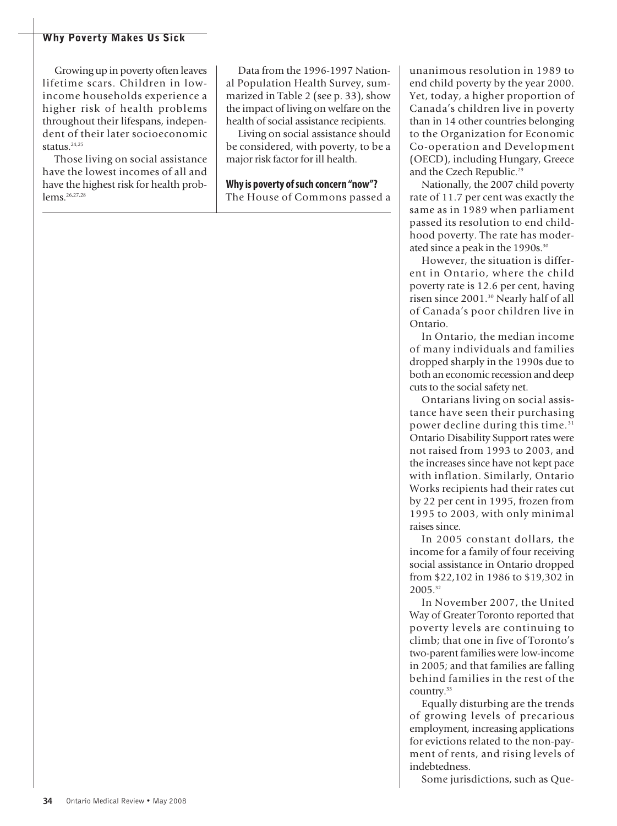Growing up in poverty often leaves lifetime scars. Children in lowincome households experience a higher risk of health problems throughout their lifespans, independent of their later socioeconomic status. 24,25

Those living on social assistance have the lowest incomes of all and have the highest risk for health problems. 26,27,28

Data from the 1996-1997 National Population Health Survey, summarized in Table 2 (see p. 33), show the impact of living on welfare on the health of social assistance recipients.

Living on social assistance should be considered, with poverty, to be a major risk factor for ill health.

**Whyis poverty ofsuch concern "now"?** The House of Commons passed a unanimous resolution in 1989 to end child poverty by the year 2000. Yet, today, a higher proportion of Canada's children live in poverty than in 14 other countries belonging to the Organization for Economic Co-operation and Development (OECD), including Hungary, Greece and the Czech Republic. 29

Nationally, the 2007 child poverty rate of 11.7 per cent was exactly the same as in 1989 when parliament passed its resolution to end childhood poverty. The rate has moderated since a peak in the 1990s. 30

However, the situation is different in Ontario, where the child poverty rate is 12.6 per cent, having risen since 2001. <sup>30</sup> Nearly half of all of Canada's poor children live in Ontario.

In Ontario, the median income of many individuals and families dropped sharply in the 1990s due to both an economic recession and deep cuts to the social safety net.

Ontarians living on social assistance have seen their purchasing power decline during this time. 31 Ontario Disability Support rates were not raised from 1993 to 2003, and the increases since have not kept pace with inflation. Similarly, Ontario Works recipients had their rates cut by 22 per cent in 1995, frozen from 1995 to 2003, with only minimal raises since.

In 2005 constant dollars, the income for a family of four receiving social assistance in Ontario dropped from \$22,102 in 1986 to \$19,302 in 2005. 32

In November 2007, the United Way of Greater Toronto reported that poverty levels are continuing to climb; that one in five of Toronto's two-parent families were low-income in 2005; and that families are falling behind families in the rest of the country. 33

Equally disturbing are the trends of growing levels of precarious employment, increasing applications for evictions related to the non-payment of rents, and rising levels of indebtedness.

Some jurisdictions, such as Que-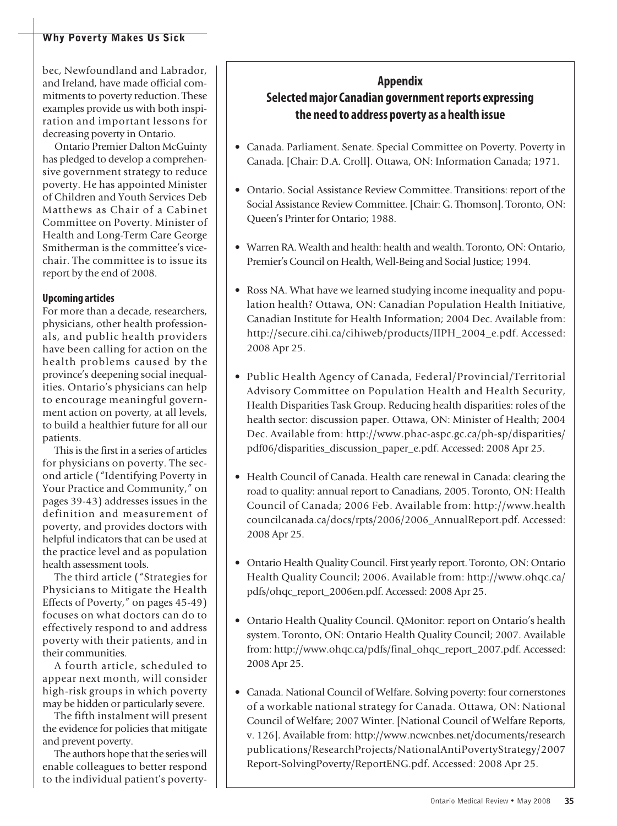bec, Newfoundland and Labrador, and Ireland, have made official commitments to poverty reduction. These examples provide us with both inspiration and important lessons for decreasing poverty in Ontario.

Ontario Premier Dalton McGuinty has pledged to develop a comprehensive government strategy to reduce poverty. He has appointed Minister of Children and Youth Services Deb Matthews as Chair of a Cabinet Committee on Poverty. Minister of Health and Long-Term Care George Smitherman is the committee's vicechair. The committee is to issue its report by the end of 2008.

### **Upcoming articles**

For more than a decade, researchers, physicians, other health professionals, and public health providers have been calling for action on the health problems caused by the province's deepening social inequalities. Ontario's physicians can help to encourage meaningful government action on poverty, at all levels, to build a healthier future for all our patients.

This is the first in a series of articles for physicians on poverty. The second article ("Identifying Poverty in Your Practice and Community," on pages 39-43) addresses issues in the definition and measurement of poverty, and provides doctors with helpful indicators that can be used at the practice level and as population health assessment tools.

The third article ("Strategies for Physicians to Mitigate the Health Effects of Poverty," on pages 45-49) focuses on what doctors can do to effectively respond to and address poverty with their patients, and in their communities.

A fourth article, scheduled to appear next month, will consider high-risk groups in which poverty may be hidden or particularly severe.

The fifth instalment will present the evidence for policies that mitigate and prevent poverty.

The authors hope that the series will enable colleagues to better respond to the individual patient's poverty-

## **Appendix SelectedmajorCanadian governmentreports expressing the need to address poverty as a health issue**

- Canada. Parliament. Senate. Special Committee on Poverty. Poverty in Canada. [Chair: D.A. Croll]. Ottawa, ON: Information Canada; 1971.
- Ontario. Social Assistance Review Committee. Transitions: report of the Social Assistance Review Committee. [Chair: G. Thomson]. Toronto, ON: Queen's Printer for Ontario; 1988.
- Warren RA. Wealth and health: health and wealth. Toronto, ON: Ontario, Premier's Council on Health, Well-Being and Social Justice; 1994.
- Ross NA. What have we learned studying income inequality and population health? Ottawa, ON: Canadian Population Health Initiative, Canadian Institute for Health Information; 2004 Dec. Available from: http://secure.cihi.ca/cihiweb/products/IIPH\_2004\_e.pdf. Accessed: 2008 Apr 25.
- Public Health Agency of Canada, Federal/Provincial/Territorial Advisory Committee on Population Health and Health Security, Health Disparities Task Group. Reducing health disparities: roles of the health sector: discussion paper. Ottawa, ON: Minister of Health; 2004 Dec. Available from: http://www.phac-aspc.gc.ca/ph-sp/disparities/ pdf06/disparities\_discussion\_paper\_e.pdf. Accessed: 2008 Apr 25.
- Health Council of Canada. Health care renewal in Canada: clearing the road to quality: annual report to Canadians, 2005. Toronto, ON: Health Council of Canada; 2006 Feb. Available from: http://www.health councilcanada.ca/docs/rpts/2006/2006\_AnnualReport.pdf. Accessed: 2008 Apr 25.
- Ontario Health Quality Council. First yearly report. Toronto, ON: Ontario Health Quality Council; 2006. Available from: http://www.ohqc.ca/ pdfs/ohqc\_report\_2006en.pdf. Accessed: 2008 Apr 25.
- Ontario Health Quality Council. QMonitor: report on Ontario's health system. Toronto, ON: Ontario Health Quality Council; 2007. Available from: http://www.ohqc.ca/pdfs/final\_ohqc\_report\_2007.pdf. Accessed: 2008 Apr 25.
- Canada. National Council of Welfare. Solving poverty: four cornerstones of a workable national strategy for Canada. Ottawa, ON: National Council of Welfare; 2007 Winter. [National Council of Welfare Reports, v. 126]. Available from: http://www.ncwcnbes.net/documents/research publications/ResearchProjects/NationalAntiPovertyStrategy/2007 Report-SolvingPoverty/ReportENG.pdf. Accessed: 2008 Apr 25.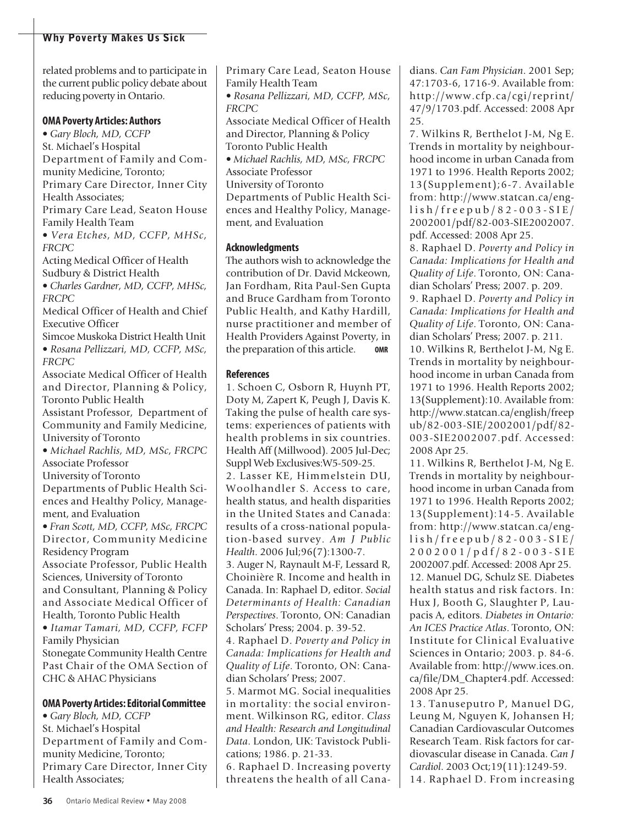related problems and to participate in the current public policy debate about reducing poverty in Ontario.

### **OMA Poverty Articles: Authors**

• *Gary Bloch, MD, CCFP* St. Michael's Hospital Department of Family and Community Medicine, Toronto; Primary Care Director, Inner City Health Associates; Primary Care Lead, Seaton House

Family Health Team

• *Vera Etches, MD, CCFP, MHSc, FRCPC*

Acting Medical Officer of Health Sudbury & District Health

• *Charles Gardner, MD, CCFP, MHSc, FRCPC*

Medical Officer of Health and Chief Executive Officer

Simcoe Muskoka District Health Unit • *Rosana Pellizzari, MD, CCFP, MSc, FRCPC*

Associate Medical Officer of Health and Director, Planning & Policy, Toronto Public Health

Assistant Professor, Department of Community and Family Medicine, University of Toronto

• *Michael Rachlis, MD, MSc, FRCPC* Associate Professor

University of Toronto

Departments of Public Health Sciences and Healthy Policy, Management, and Evaluation

• *Fran Scott, MD, CCFP, MSc, FRCPC* Director, Community Medicine Residency Program

Associate Professor, Public Health Sciences, University of Toronto and Consultant, Planning & Policy and Associate Medical Officer of Health, Toronto Public Health

• *Itamar Tamari, MD, CCFP, FCFP* Family Physician

Stonegate Community Health Centre Past Chair of the OMA Section of CHC & AHAC Physicians

### **OMA Poverty Articles:EditorialCommittee**

• *Gary Bloch, MD, CCFP* St. Michael's Hospital Department of Family and Community Medicine, Toronto; Primary Care Director, Inner City Health Associates;

Primary Care Lead, Seaton House Family Health Team

• *Rosana Pellizzari, MD, CCFP, MSc, FRCPC*

Associate Medical Officer of Health and Director, Planning & Policy Toronto Public Health

• *Michael Rachlis, MD, MSc, FRCPC* Associate Professor University of Toronto

Departments of Public Health Sciences and Healthy Policy, Management, and Evaluation

### **Acknowledgments**

The authors wish to acknowledge the contribution of Dr. David Mckeown, Jan Fordham, Rita Paul-Sen Gupta and Bruce Gardham from Toronto Public Health, and Kathy Hardill, nurse practitioner and member of Health Providers Against Poverty, in the preparation of this article. **OMR**

### **References**

1. Schoen C, Osborn R, Huynh PT, Doty M, Zapert K, Peugh J, Davis K. Taking the pulse of health care systems: experiences of patients with health problems in six countries. Health Aff (Millwood). 2005 Jul-Dec; Suppl Web Exclusives:W5-509-25.

2. Lasser KE, Himmelstein DU, Woolhandler S. Access to care, health status, and health disparities in the United States and Canada: results of a cross-national population-based survey. *Am J Public Health*. 2006 Jul;96(7):1300-7.

3. Auger N, Raynault M-F, Lessard R, Choinière R. Income and health in Canada. In: Raphael D, editor. *Social Determinants of Health: Canadian Perspectives*. Toronto, ON: Canadian Scholars' Press; 2004. p. 39-52.

4. Raphael D. *Poverty and Policy in Canada: Implications for Health and Quality of Life*. Toronto, ON: Canadian Scholars' Press; 2007.

5. Marmot MG. Social inequalities in mortality: the social environment. Wilkinson RG, editor. *Class and Health: Research and Longitudinal Data*. London, UK: Tavistock Publications; 1986. p. 21-33.

6. Raphael D. Increasing poverty threatens the health of all Canadians. *Can Fam Physician*. 2001 Sep; 47:1703-6, 1716-9. Available from: http://www.cfp.ca/cgi/reprint/ 47/9/1703.pdf. Accessed: 2008 Apr 25.

7. Wilkins R, Berthelot J-M, Ng E. Trends in mortality by neighbourhood income in urban Canada from 1971 to 1996. Health Reports 2002; 13(Supplement);6-7. Available from: http://www.statcan.ca/engl i s h / f r e e p u b / 8 2 - 0 0 3 - S I E / 2002001/pdf/82-003-SIE2002007. pdf. Accessed: 2008 Apr 25.

8. Raphael D. *Poverty and Policy in Canada: Implications for Health and Quality of Life*. Toronto, ON: Canadian Scholars' Press; 2007. p. 209.

9. Raphael D. *Poverty and Policy in Canada: Implications for Health and Quality of Life*. Toronto, ON: Canadian Scholars' Press; 2007. p. 211.

10. Wilkins R, Berthelot J-M, Ng E. Trends in mortality by neighbourhood income in urban Canada from 1971 to 1996. Health Reports 2002; 13(Supplement):10. Available from: http://www.statcan.ca/english/freep ub/82-003-SIE/2002001/pdf/82- 003-SIE2002007.pdf. Accessed: 2008 Apr 25.

11. Wilkins R, Berthelot J-M, Ng E. Trends in mortality by neighbourhood income in urban Canada from 1971 to 1996. Health Reports 2002; 13(Supplement):14-5. Available from: http://www.statcan.ca/engl i s h / f r e e p u b / 8 2 - 0 0 3 - S I E / 2 0 0 2 0 0 1 / p d f / 8 2 - 0 0 3 - S I E 2002007.pdf. Accessed: 2008 Apr 25. 12. Manuel DG, Schulz SE. Diabetes health status and risk factors. In: Hux J, Booth G, Slaughter P, Laupacis A, editors. *Diabetes in Ontario: An ICES Practice Atlas*. Toronto, ON: Institute for Clinical Evaluative Sciences in Ontario; 2003. p. 84-6. Available from: http://www.ices.on. ca/file/DM\_Chapter4.pdf. Accessed: 2008 Apr 25.

13. Tanuseputro P, Manuel DG, Leung M, Nguyen K, Johansen H; Canadian Cardiovascular Outcomes Research Team. Risk factors for cardiovascular disease in Canada. *Can J Cardiol*. 2003 Oct;19(11):1249-59. 14. Raphael D. From increasing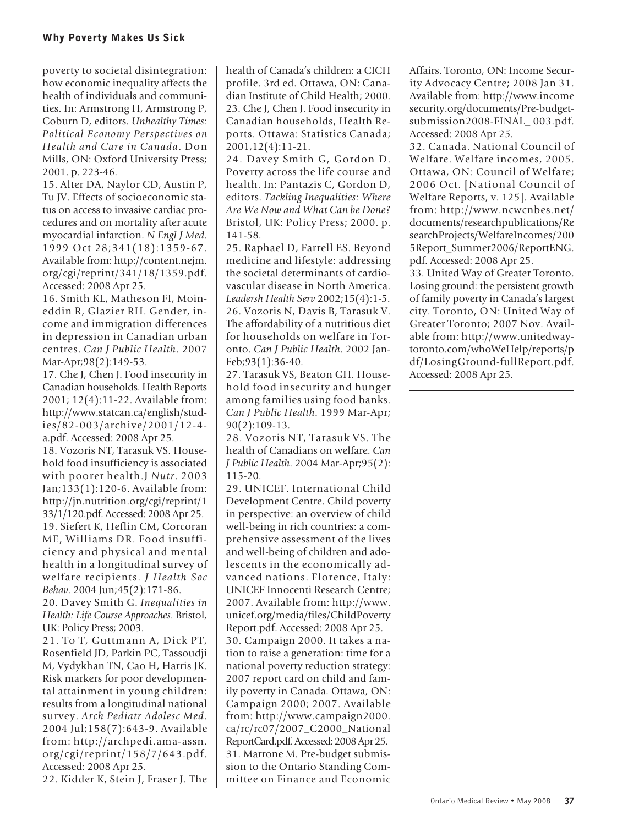poverty to societal disintegration: how economic inequality affects the health of individuals and communities. In: Armstrong H, Armstrong P, Coburn D, editors. *Unhealthy Times: Political Economy Perspectives on Health and Care in Canada*. Don Mills, ON: Oxford University Press; 2001. p. 223-46.

15. Alter DA, Naylor CD, Austin P, Tu JV. Effects of socioeconomic status on access to invasive cardiac procedures and on mortality after acute myocardial infarction. *N Engl J Med*. 1999 Oct 28;341(18):1359-67. Available from: http://content.nejm. org/cgi/reprint/341/18/1359.pdf. Accessed: 2008 Apr 25.

16. Smith KL, Matheson FI, Moineddin R, Glazier RH. Gender, income and immigration differences in depression in Canadian urban centres. *Can J Public Health*. 2007 Mar-Apr;98(2):149-53.

17. Che J, Chen J. Food insecurity in Canadian households. Health Reports 2001; 12(4):11-22. Available from: http://www.statcan.ca/english/studies/82-003/archive/2001/12-4 a.pdf. Accessed: 2008 Apr 25.

18. Vozoris NT, Tarasuk VS. Household food insufficiency is associated with poorer health.J *Nutr*. 2003 Jan;133(1):120-6. Available from: http://jn.nutrition.org/cgi/reprint/1 33/1/120.pdf. Accessed: 2008 Apr 25. 19. Siefert K, Heflin CM, Corcoran ME, Williams DR. Food insufficiency and physical and mental health in a longitudinal survey of welfare recipients. *J Health Soc Behav*. 2004 Jun;45(2):171-86.

20. Davey Smith G. *Inequalities in Health: Life Course Approaches*. Bristol, UK: Policy Press; 2003.

21. To T, Guttmann A, Dick PT, Rosenfield JD, Parkin PC, Tassoudji M, Vydykhan TN, Cao H, Harris JK. Risk markers for poor developmental attainment in young children: results from a longitudinal national survey. *Arch Pediatr Adolesc Med*. 2004 Jul;158(7):643-9. Available from: http://archpedi.ama-assn. org/cgi/reprint/158/7/643.pdf. Accessed: 2008 Apr 25.

22. Kidder K, Stein J, Fraser J. The

health of Canada's children: a CICH profile. 3rd ed. Ottawa, ON: Canadian Institute of Child Health; 2000. 23. Che J, Chen J. Food insecurity in Canadian households, Health Reports. Ottawa: Statistics Canada; 2001,12(4):11-21.

24. Davey Smith G, Gordon D. Poverty across the life course and health. In: Pantazis C, Gordon D, editors. *Tackling Inequalities: Where Are We Now and What Can be Done?* Bristol, UK: Policy Press; 2000. p. 141-58.

25. Raphael D, Farrell ES. Beyond medicine and lifestyle: addressing the societal determinants of cardiovascular disease in North America. *Leadersh Health Serv* 2002;15(4):1-5. 26. Vozoris N, Davis B, Tarasuk V. The affordability of a nutritious diet for households on welfare in Toronto. *Can J Public Health*. 2002 Jan-Feb;93(1):36-40.

27. Tarasuk VS, Beaton GH. Household food insecurity and hunger among families using food banks. *Can J Public Health*. 1999 Mar-Apr; 90(2):109-13.

28. Vozoris NT, Tarasuk VS. The health of Canadians on welfare. *Can J Public Health*. 2004 Mar-Apr;95(2): 115-20.

29. UNICEF. International Child Development Centre. Child poverty in perspective: an overview of child well-being in rich countries: a comprehensive assessment of the lives and well-being of children and adolescents in the economically advanced nations. Florence, Italy: UNICEF Innocenti Research Centre; 2007. Available from: http://www. unicef.org/media/files/ChildPoverty Report.pdf. Accessed: 2008 Apr 25. 30. Campaign 2000. It takes a nation to raise a generation: time for a national poverty reduction strategy: 2007 report card on child and family poverty in Canada. Ottawa, ON: Campaign 2000; 2007. Available from: http://www.campaign2000. ca/rc/rc07/2007\_C2000\_National ReportCard.pdf. Accessed: 2008 Apr 25. 31. Marrone M. Pre-budget submission to the Ontario Standing Committee on Finance and Economic Affairs. Toronto, ON: Income Security Advocacy Centre; 2008 Jan 31. Available from: http://www.income security.org/documents/Pre-budgetsubmission2008-FINAL\_ 003.pdf. Accessed: 2008 Apr 25.

32. Canada. National Council of Welfare. Welfare incomes, 2005. Ottawa, ON: Council of Welfare; 2006 Oct. [National Council of Welfare Reports, v. 125]. Available from: http://www.ncwcnbes.net/ documents/researchpublications/Re searchProjects/WelfareIncomes/200 5Report\_Summer2006/ReportENG. pdf. Accessed: 2008 Apr 25.

33. United Way of Greater Toronto. Losing ground: the persistent growth of family poverty in Canada's largest city. Toronto, ON: United Way of Greater Toronto; 2007 Nov. Available from: http://www.unitedwaytoronto.com/whoWeHelp/reports/p df/LosingGround-fullReport.pdf. Accessed: 2008 Apr 25.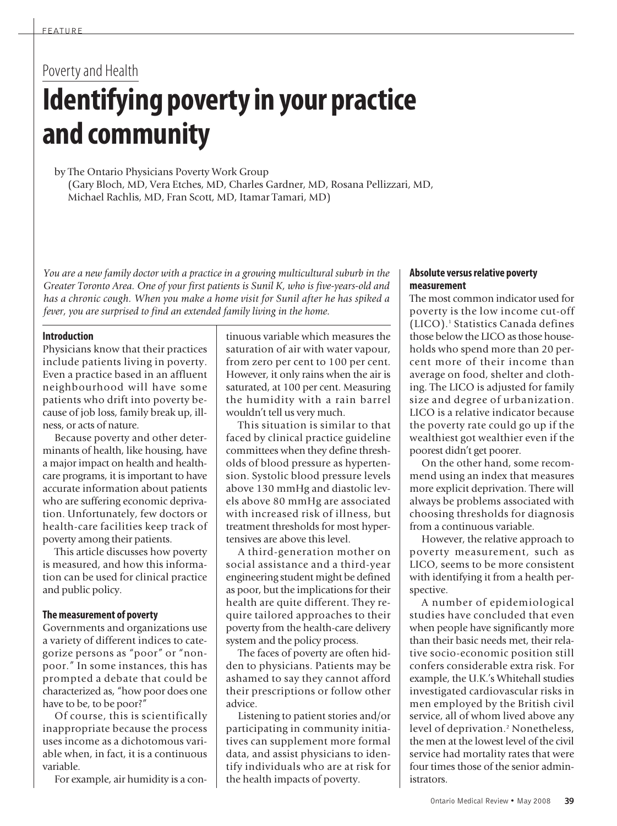# Poverty and Health **Identifying povertyin your practice and community**

by The Ontario Physicians Poverty Work Group (Gary Bloch, MD, Vera Etches, MD, Charles Gardner, MD, Rosana Pellizzari, MD, Michael Rachlis, MD, Fran Scott, MD, Itamar Tamari, MD)

*You are a new family doctor with a practice in a growing multicultural suburb in the Greater Toronto Area. One of your first patients is Sunil K, who is five-years-old and has a chronic cough. When you make a home visit for Sunil after he has spiked a fever, you are surprised to find an extended family living in the home.*

### **Introduction**

Physicians know that their practices include patients living in poverty. Even a practice based in an affluent neighbourhood will have some patients who drift into poverty because of job loss, family break up, illness, or acts of nature.

Because poverty and other determinants of health, like housing, have a major impact on health and healthcare programs, it is important to have accurate information about patients who are suffering economic deprivation. Unfortunately, few doctors or health-care facilities keep track of poverty among their patients.

This article discusses how poverty is measured, and how this information can be used for clinical practice and public policy.

### **Themeasurement of poverty**

Governments and organizations use a variety of different indices to categorize persons as "poor" or "nonpoor." In some instances, this has prompted a debate that could be characterized as, "how poor does one have to be, to be poor?"

Of course, this is scientifically inappropriate because the process uses income as a dichotomous variable when, in fact, it is a continuous variable.

For example, air humidity is a con-

tinuous variable which measures the saturation of air with water vapour, from zero per cent to 100 per cent. However, it only rains when the air is saturated, at 100 per cent. Measuring the humidity with a rain barrel wouldn't tell us very much.

This situation is similar to that faced by clinical practice guideline committees when they define thresholds of blood pressure as hypertension. Systolic blood pressure levels above 130 mmHg and diastolic levels above 80 mmHg are associated with increased risk of illness, but treatment thresholds for most hypertensives are above this level.

A third-generation mother on social assistance and a third-year engineering student might be defined as poor, but the implications for their health are quite different. They require tailored approaches to their poverty from the health-care delivery system and the policy process.

The faces of poverty are often hidden to physicians. Patients may be ashamed to say they cannot afford their prescriptions or follow other advice.

Listening to patient stories and/or participating in community initiatives can supplement more formal data, and assist physicians to identify individuals who are at risk for the health impacts of poverty.

### **Absolute versusrelative poverty measurement**

The most common indicator used for poverty is the low income cut-off (LICO). <sup>1</sup> Statistics Canada defines those below the LICO as those households who spend more than 20 percent more of their income than average on food, shelter and clothing. The LICO is adjusted for family size and degree of urbanization. LICO is a relative indicator because the poverty rate could go up if the wealthiest got wealthier even if the poorest didn't get poorer.

On the other hand, some recommend using an index that measures more explicit deprivation. There will always be problems associated with choosing thresholds for diagnosis from a continuous variable.

However, the relative approach to poverty measurement, such as LICO, seems to be more consistent with identifying it from a health perspective.

A number of epidemiological studies have concluded that even when people have significantly more than their basic needs met, their relative socio-economic position still confers considerable extra risk. For example, the U.K.'s Whitehall studies investigated cardiovascular risks in men employed by the British civil service, all of whom lived above any level of deprivation. <sup>2</sup> Nonetheless, the men at the lowest level of the civil service had mortality rates that were four times those of the senior administrators.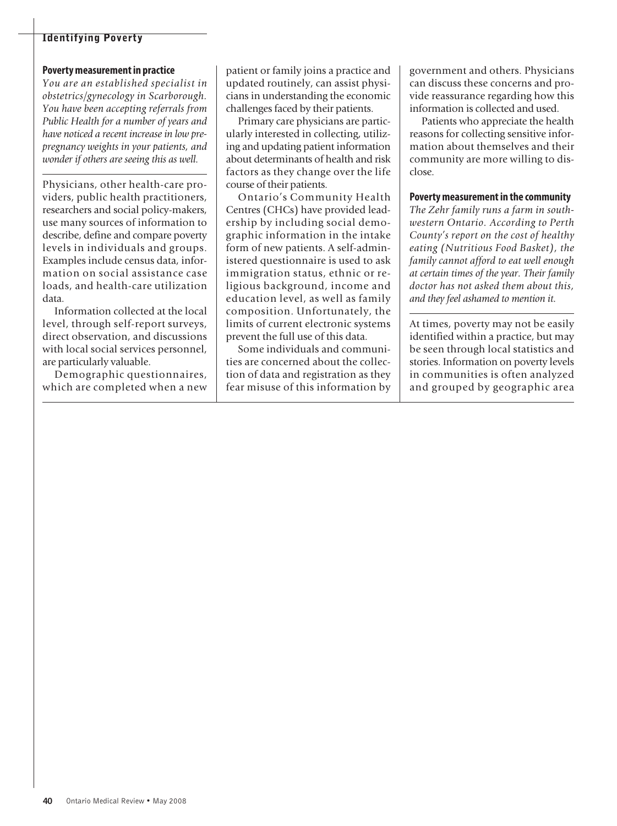### **Povertymeasurementin practice**

*You are an established specialist in obstetrics/gynecology in Scarborough. You have been accepting referrals from Public Health for a number of years and have noticed a recent increase in low prepregnancy weights in your patients, and wonder if others are seeing this as well.*

Physicians, other health-care providers, public health practitioners, researchers and social policy-makers, use many sources of information to describe, define and compare poverty levels in individuals and groups. Examples include census data, information on social assistance case loads, and health-care utilization data.

Information collected at the local level, through self-report surveys, direct observation, and discussions with local social services personnel, are particularly valuable.

Demographic questionnaires, which are completed when a new patient or family joins a practice and updated routinely, can assist physicians in understanding the economic challenges faced by their patients.

Primary care physicians are particularly interested in collecting, utilizing and updating patient information about determinants of health and risk factors as they change over the life course of their patients.

Ontario's Community Health Centres (CHCs) have provided leadership by including social demographic information in the intake form of new patients. A self-administered questionnaire is used to ask immigration status, ethnic or religious background, income and education level, as well as family composition. Unfortunately, the limits of current electronic systems prevent the full use of this data.

Some individuals and communities are concerned about the collection of data and registration as they fear misuse of this information by government and others. Physicians can discuss these concerns and provide reassurance regarding how this information is collected and used.

Patients who appreciate the health reasons for collecting sensitive information about themselves and their community are more willing to disclose.

### **Povertymeasurementin the community**

*The Zehr family runs a farm in southwestern Ontario. According to Perth County's report on the cost of healthy eating (Nutritious Food Basket), the family cannot afford to eat well enough at certain times of the year. Their family doctor has not asked them about this, and they feel ashamed to mention it.*

At times, poverty may not be easily identified within a practice, but may be seen through local statistics and stories. Information on poverty levels in communities is often analyzed and grouped by geographic area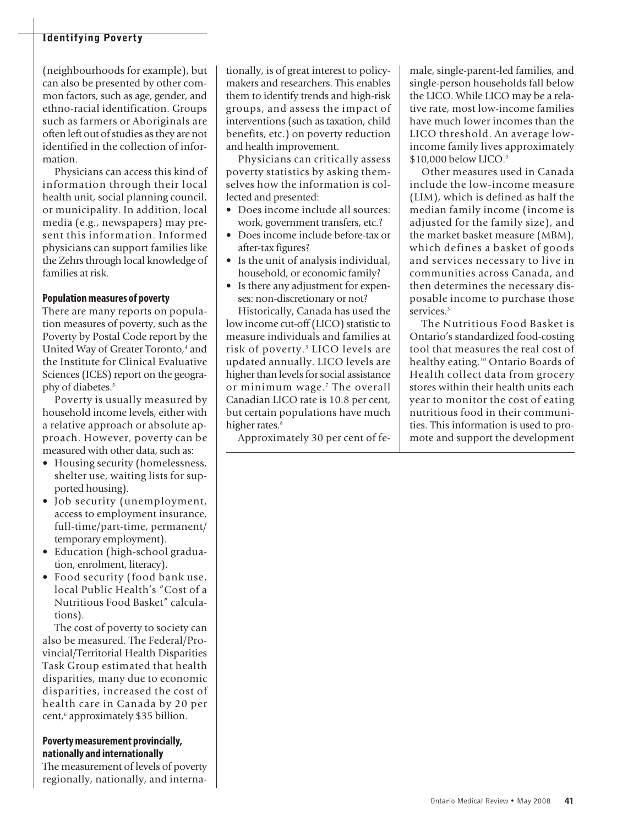(neighbourhoods for example), but can also be presented by other common factors, such as age, gender, and ethno-racial identification. Groups such as farmers or Aboriginals are often left out of studies as they are not identified in the collection of information.

Physicians can access this kind of information through their local health unit, social planning council, or municipality. In addition, local media (e.g., newspapers) may present this information. Informed physicians can support families like the Zehrs through local knowledge of families at risk.

### **Populationmeasures of poverty**

There are many reports on population measures of poverty, such as the Poverty by Postal Code report by the United Way of Greater Toronto, <sup>4</sup> and the Institute for Clinical Evaluative Sciences (ICES) report on the geography of diabetes. 5

Poverty is usually measured by household income levels, either with a relative approach or absolute approach. However, poverty can be measured with other data, such as:

- Housing security (homelessness, shelter use, waiting lists for supported housing).
- Job security (unemployment, access to employment insurance, full-time/part-time, permanent/ temporary employment).
- Education (high-school graduation, enrolment, literacy).
- Food security (food bank use, local Public Health's "Cost of a Nutritious Food Basket" calculations).

The cost of poverty to society can also be measured. The Federal/Provincial/Territorial Health Disparities Task Group estimated that health disparities, many due to economic disparities, increased the cost of health care in Canada by 20 per cent, <sup>6</sup> approximately \$35 billion.

### **Povertymeasurement provincially, nationally and internationally**

The measurement of levels of poverty regionally, nationally, and interna-

tionally, is of great interest to policymakers and researchers. This enables them to identify trends and high-risk groups, and assess the impact of interventions (such as taxation, child benefits, etc.) on poverty reduction and health improvement.

Physicians can critically assess poverty statistics by asking themselves how the information is collected and presented:

- Does income include all sources: work, government transfers, etc.?
- Does income include before-tax or after-tax figures?
- Is the unit of analysis individual, household, or economic family?
- Is there any adjustment for expenses: non-discretionary or not?

Historically, Canada has used the low income cut-off (LICO) statistic to measure individuals and families at risk of poverty. <sup>3</sup> LICO levels are updated annually. LICO levels are higher than levels for social assistance or minimum wage. <sup>7</sup> The overall Canadian LICO rate is 10.8 per cent, but certain populations have much higher rates. 8

Approximately 30 per cent of fe-

male, single-parent-led families, and single-person households fall below the LICO. While LICO may be a relative rate, most low-income families have much lower incomes than the LICO threshold. An average lowincome family lives approximately \$10,000 below LICO. 9

Other measures used in Canada include the low-income measure (LIM), which is defined as half the median family income (income is adjusted for the family size), and the market basket measure (MBM), which defines a basket of goods and services necessary to live in communities across Canada, and then determines the necessary disposable income to purchase those services. 3

The Nutritious Food Basket is Ontario's standardized food-costing tool that measures the real cost of healthy eating. <sup>10</sup> Ontario Boards of Health collect data from grocery stores within their health units each year to monitor the cost of eating nutritious food in their communities. This information is used to promote and support the development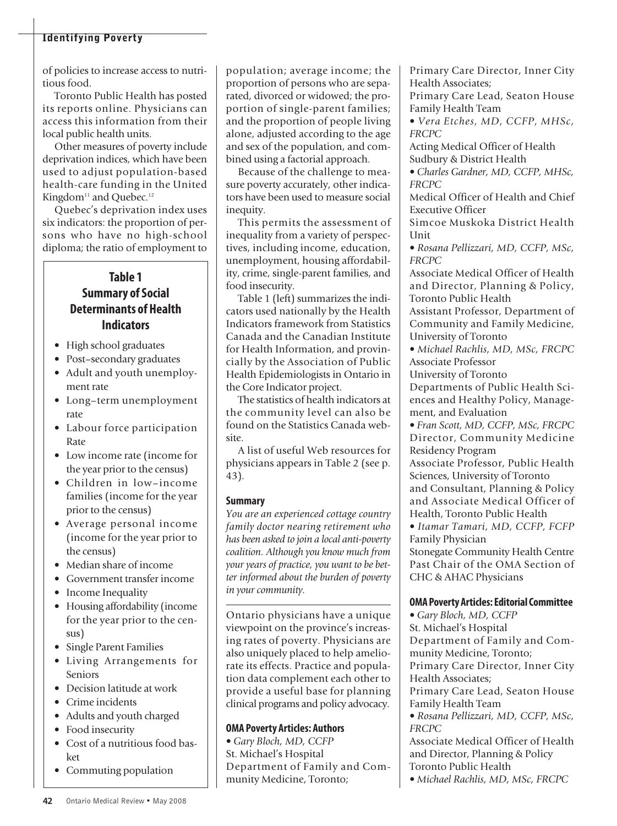of policies to increase access to nutritious food.

Toronto Public Health has posted its reports online. Physicians can access this information from their local public health units.

Other measures of poverty include deprivation indices, which have been used to adjust population-based health-care funding in the United Kingdom<sup>11</sup> and Quebec.<sup>12</sup>

Quebec's deprivation index uses six indicators: the proportion of persons who have no high-school diploma; the ratio of employment to

### **Table 1 Summary** of Social **Determinants of Health Indicators**

- High school graduates
- Post–secondary graduates
- Adult and youth unemployment rate
- Long–term unemployment rate
- Labour force participation Rate
- Low income rate (income for the year prior to the census)
- Children in low–income families (income for the year prior to the census)
- Average personal income (income for the year prior to the census)
- Median share of income
- Government transfer income
- Income Inequality
- Housing affordability (income for the year prior to the census)
- Single Parent Families
- Living Arrangements for Seniors
- Decision latitude at work
- Crime incidents
- Adults and youth charged
- Food insecurity
- Cost of a nutritious food basket
- Commuting population

population; average income; the proportion of persons who are separated, divorced or widowed; the proportion of single-parent families; and the proportion of people living alone, adjusted according to the age and sex of the population, and combined using a factorial approach.

Because of the challenge to measure poverty accurately, other indicators have been used to measure social inequity.

This permits the assessment of inequality from a variety of perspectives, including income, education, unemployment, housing affordability, crime, single-parent families, and food insecurity.

Table 1 (left) summarizes the indicators used nationally by the Health Indicators framework from Statistics Canada and the Canadian Institute for Health Information, and provincially by the Association of Public Health Epidemiologists in Ontario in the Core Indicator project.

The statistics of health indicators at the community level can also be found on the Statistics Canada website.

A list of useful Web resources for physicians appears in Table 2 (see p. 43).

### **Summary**

*You are an experienced cottage country family doctor nearing retirement who has been asked to join a local anti-poverty coalition. Although you know much from your years of practice, you want to be better informed about the burden of poverty in your community.*

Ontario physicians have a unique viewpoint on the province's increasing rates of poverty. Physicians are also uniquely placed to help ameliorate its effects. Practice and population data complement each other to provide a useful base for planning clinical programs and policy advocacy.

### **OMA Poverty Articles: Authors**

• *Gary Bloch, MD, CCFP* St. Michael's Hospital Department of Family and Community Medicine, Toronto;

Primary Care Director, Inner City Health Associates;

Primary Care Lead, Seaton House Family Health Team

• *Vera Etches, MD, CCFP, MHSc, FRCPC*

Acting Medical Officer of Health Sudbury & District Health

• *Charles Gardner, MD, CCFP, MHSc, FRCPC*

Medical Officer of Health and Chief Executive Officer

Simcoe Muskoka District Health **I**Init

• *Rosana Pellizzari, MD, CCFP, MSc, FRCPC*

Associate Medical Officer of Health and Director, Planning & Policy, Toronto Public Health

Assistant Professor, Department of Community and Family Medicine, University of Toronto

• *Michael Rachlis, MD, MSc, FRCPC* Associate Professor

University of Toronto

Departments of Public Health Sciences and Healthy Policy, Management, and Evaluation

• *Fran Scott, MD, CCFP, MSc, FRCPC* Director, Community Medicine Residency Program

Associate Professor, Public Health Sciences, University of Toronto and Consultant, Planning & Policy and Associate Medical Officer of Health, Toronto Public Health

• *Itamar Tamari, MD, CCFP, FCFP* Family Physician

Stonegate Community Health Centre Past Chair of the OMA Section of CHC & AHAC Physicians

### **OMA Poverty Articles:EditorialCommittee**

• *Gary Bloch, MD, CCFP* St. Michael's Hospital Department of Family and Community Medicine, Toronto; Primary Care Director, Inner City Health Associates; Primary Care Lead, Seaton House Family Health Team • *Rosana Pellizzari, MD, CCFP, MSc, FRCPC* Associate Medical Officer of Health and Director, Planning & Policy Toronto Public Health

• *Michael Rachlis, MD, MSc, FRCPC*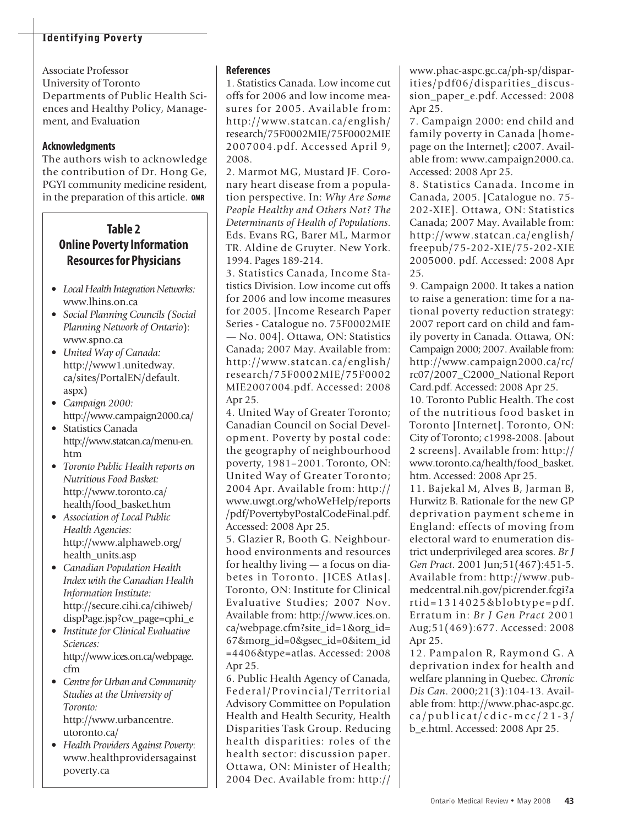Associate Professor University of Toronto Departments of Public Health Sciences and Healthy Policy, Management, and Evaluation

### **Acknowledgments**

The authors wish to acknowledge the contribution of Dr. Hong Ge, PGYI community medicine resident, in the preparation of this article. **OMR**

## **Table 2 Online Poverty Information Resourcesfor Physicians**

- Local Health Integration Networks: www.lhins.on.ca
- *Social Planning Councils (Social Planning Network of Ontario*): www.spno.ca
- *United Way of Canada:* http://www1.unitedway. ca/sites/PortalEN/default. aspx)
- *Campaign 2000:* http://www.campaign2000.ca/
- Statistics Canada http://www.statcan.ca/menu-en. htm
- *Toronto Public Health reports on Nutritious Food Basket:* http://www.toronto.ca/ health/food\_basket.htm
- *Association of Local Public Health Agencies:* http://www.alphaweb.org/ health\_units.asp
- *Canadian Population Health Index with the Canadian Health Information Institute:* http://secure.cihi.ca/cihiweb/ dispPage.jsp?cw\_page=cphi\_e
- *Institute for Clinical Evaluative Sciences:* http://www.ices.on.ca/webpage. cfm
- *Centre for Urban and Community Studies at the University of Toronto:* http://www.urbancentre. utoronto.ca/
- *Health Providers Against Poverty*: www.healthprovidersagainst poverty.ca

### **References**

1. Statistics Canada. Low income cut offs for 2006 and low income measures for 2005. Available from: http://www.statcan.ca/english/ research/75F0002MIE/75F0002MIE 2007004.pdf. Accessed April 9, 2008.

2. Marmot MG, Mustard JF. Coronary heart disease from a population perspective. In: *Why Are Some People Healthy and Others Not? The Determinants of Health of Populations*. Eds. Evans RG, Barer ML, Marmor TR. Aldine de Gruyter. New York. 1994. Pages 189-214.

3. Statistics Canada, Income Statistics Division. Low income cut offs for 2006 and low income measures for 2005. [Income Research Paper Series - Catalogue no. 75F0002MIE — No. 004]. Ottawa, ON: Statistics Canada; 2007 May. Available from: http://www.statcan.ca/english/ research/75F0002MIE/75F0002 MIE2007004.pdf. Accessed: 2008 Apr 25.

4. United Way of Greater Toronto; Canadian Council on Social Development. Poverty by postal code: the geography of neighbourhood poverty, 1981–2001. Toronto, ON: United Way of Greater Toronto; 2004 Apr. Available from: http:// www.uwgt.org/whoWeHelp/reports /pdf/PovertybyPostalCodeFinal.pdf. Accessed: 2008 Apr 25.

5. Glazier R, Booth G. Neighbourhood environments and resources for healthy living — a focus on diabetes in Toronto. [ICES Atlas]. Toronto, ON: Institute for Clinical Evaluative Studies; 2007 Nov. Available from: http://www.ices.on. ca/webpage.cfm?site\_id=1&org\_id= 67&morg\_id=0&gsec\_id=0&item\_id =4406&type=atlas. Accessed: 2008 Apr 25.

6. Public Health Agency of Canada, Federal/Provincial/Territorial Advisory Committee on Population Health and Health Security, Health Disparities Task Group. Reducing health disparities: roles of the health sector: discussion paper. Ottawa, ON: Minister of Health; 2004 Dec. Available from: http:// www.phac-aspc.gc.ca/ph-sp/disparities/pdf06/disparities\_discussion\_paper\_e.pdf. Accessed: 2008 Apr 25.

7. Campaign 2000: end child and family poverty in Canada [homepage on the Internet]; c2007. Available from: www.campaign2000.ca. Accessed: 2008 Apr 25.

8. Statistics Canada. Income in Canada, 2005. [Catalogue no. 75- 202-XIE]. Ottawa, ON: Statistics Canada; 2007 May. Available from: http://www.statcan.ca/english/ freepub/75-202-XIE/75-202-XIE 2005000. pdf. Accessed: 2008 Apr 25.

9. Campaign 2000. It takes a nation to raise a generation: time for a national poverty reduction strategy: 2007 report card on child and family poverty in Canada. Ottawa, ON: Campaign 2000; 2007. Available from: http://www.campaign2000.ca/rc/ rc07/2007\_C2000\_National Report Card.pdf. Accessed: 2008 Apr 25.

10. Toronto Public Health. The cost of the nutritious food basket in Toronto [Internet]. Toronto, ON: City of Toronto; c1998-2008. [about 2 screens]. Available from: http:// www.toronto.ca/health/food\_basket. htm. Accessed: 2008 Apr 25.

11. Bajekal M, Alves B, Jarman B, Hurwitz B. Rationale for the new GP deprivation payment scheme in England: effects of moving from electoral ward to enumeration district underprivileged area scores. *Br J Gen Pract*. 2001 Jun;51(467):451-5. Available from: http://www.pubmedcentral.nih.gov/picrender.fcgi?a rtid=1314025&blobtype=pdf. Erratum in: *Br J Gen Pract* 2001 Aug;51(469):677. Accessed: 2008 Apr 25.

12. Pampalon R, Raymond G. A deprivation index for health and welfare planning in Quebec. *Chronic Dis Can*. 2000;21(3):104-13. Available from: http://www.phac-aspc.gc.  $ca/publicat/cdic-mcc/21-3/$ b\_e.html. Accessed: 2008 Apr 25.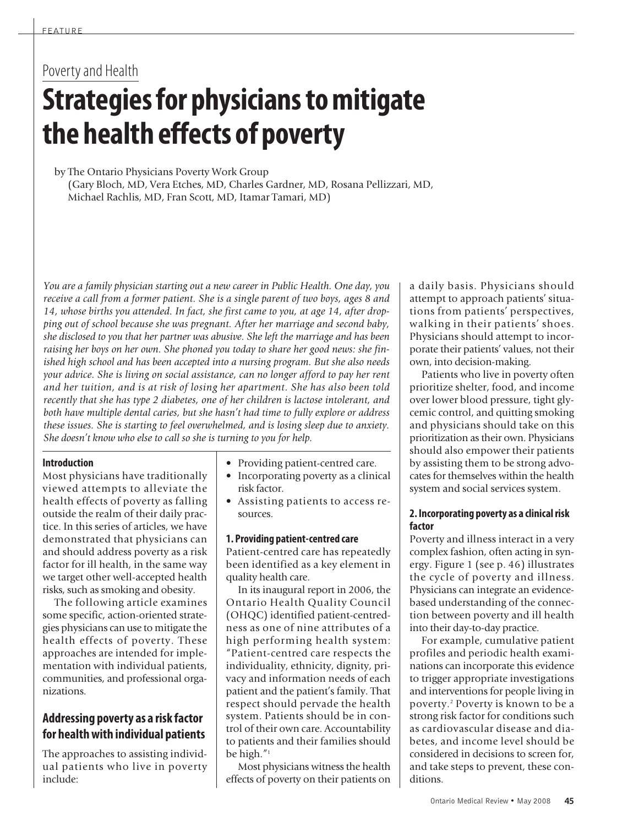# Poverty and Health **Strategiesfor physicianstomitigate the health effects of poverty**

by The Ontario Physicians Poverty Work Group (Gary Bloch, MD, Vera Etches, MD, Charles Gardner, MD, Rosana Pellizzari, MD, Michael Rachlis, MD, Fran Scott, MD, Itamar Tamari, MD)

*You are a family physician starting out a new career in Public Health. One day, you receive a call from a former patient. She is a single parent of two boys, ages 8 and 14, whose births you attended. In fact, she first came to you, at age 14, after dropping out of school because she was pregnant. After her marriage and second baby, she disclosed to you that her partner was abusive. She left the marriage and has been raising her boys on her own. She phoned you today to share her good news: she finished high school and has been accepted into a nursing program. But she also needs your advice. She is living on social assistance, can no longer afford to pay her rent and her tuition, and is at risk of losing her apartment. She has also been told recently that she has type 2 diabetes, one of her children is lactose intolerant, and both have multiple dental caries, but she hasn't had time to fully explore or address these issues. She is starting to feel overwhelmed, and is losing sleep due to anxiety. She doesn't know who else to call so she is turning to you for help.*

### **Introduction**

Most physicians have traditionally viewed attempts to alleviate the health effects of poverty as falling outside the realm of their daily practice. In this series of articles, we have demonstrated that physicians can and should address poverty as a risk factor for ill health, in the same way we target other well-accepted health risks, such as smoking and obesity.

The following article examines some specific, action-oriented strategies physicians can use to mitigate the health effects of poverty. These approaches are intended for implementation with individual patients, communities, and professional organizations.

## **Addressing poverty as a risk factor for healthwith individual patients**

The approaches to assisting individual patients who live in poverty include:

- Providing patient-centred care.
- Incorporating poverty as a clinical risk factor.
- Assisting patients to access resources.

### **1. Providing patient-centred care**

Patient-centred care has repeatedly been identified as a key element in quality health care.

In its inaugural report in 2006, the Ontario Health Quality Council (OHQC) identified patient-centredness as one of nine attributes of a high performing health system: "Patient-centred care respects the individuality, ethnicity, dignity, privacy and information needs of each patient and the patient's family. That respect should pervade the health system. Patients should be in control of their own care. Accountability to patients and their families should be high."1

Most physicians witness the health effects of poverty on their patients on a daily basis. Physicians should attempt to approach patients' situations from patients' perspectives, walking in their patients' shoes. Physicians should attempt to incorporate their patients' values, not their own, into decision-making.

Patients who live in poverty often prioritize shelter, food, and income over lower blood pressure, tight glycemic control, and quitting smoking and physicians should take on this prioritization astheir own. Physicians should also empower their patients by assisting them to be strong advocates for themselves within the health system and social services system.

### **2. Incorporating poverty as a clinicalrisk factor**

Poverty and illness interact in a very complex fashion, often acting in synergy. Figure 1 (see p. 46) illustrates the cycle of poverty and illness. Physicians can integrate an evidencebased understanding of the connection between poverty and ill health into their day-to-day practice.

For example, cumulative patient profiles and periodic health examinations can incorporate this evidence to trigger appropriate investigations and interventions for people living in poverty. <sup>2</sup> Poverty is known to be a strong risk factor for conditions such as cardiovascular disease and diabetes, and income level should be considered in decisions to screen for, and take steps to prevent, these conditions.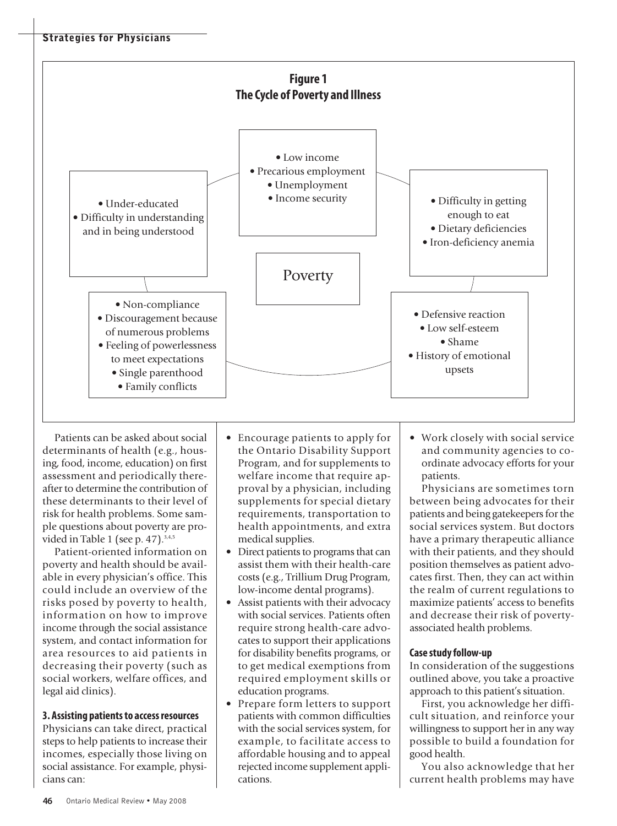

Patients can be asked about social determinants of health (e.g., housing, food, income, education) on first assessment and periodically thereafter to determine the contribution of these determinants to their level of risk for health problems. Some sample questions about poverty are provided in Table 1 (see p. 47). 3,4,5

Patient-oriented information on poverty and health should be available in every physician's office. This could include an overview of the risks posed by poverty to health, information on how to improve income through the social assistance system, and contact information for area resources to aid patients in decreasing their poverty (such as social workers, welfare offices, and legal aid clinics).

### **3. Assisting patientsto accessresources**

Physicians can take direct, practical steps to help patients to increase their incomes, especially those living on social assistance. For example, physicians can:

- Encourage patients to apply for the Ontario Disability Support Program, and for supplements to welfare income that require approval by a physician, including supplements for special dietary requirements, transportation to health appointments, and extra medical supplies.
- Direct patients to programs that can assist them with their health-care costs (e.g., Trillium Drug Program, low-income dental programs).
- Assist patients with their advocacy with social services. Patients often require strong health-care advocates to support their applications for disability benefits programs, or to get medical exemptions from required employment skills or education programs.
- Prepare form letters to support patients with common difficulties with the social services system, for example, to facilitate access to affordable housing and to appeal rejected income supplement applications.

• Work closely with social service and community agencies to coordinate advocacy efforts for your patients.

Physicians are sometimes torn between being advocates for their patients and being gatekeepers for the social services system. But doctors have a primary therapeutic alliance with their patients, and they should position themselves as patient advocates first. Then, they can act within the realm of current regulations to maximize patients' access to benefits and decrease their risk of povertyassociated health problems.

### **Case studyfollow-up**

In consideration of the suggestions outlined above, you take a proactive approach to this patient's situation.

First, you acknowledge her difficult situation, and reinforce your willingness to support her in any way possible to build a foundation for good health.

You also acknowledge that her current health problems may have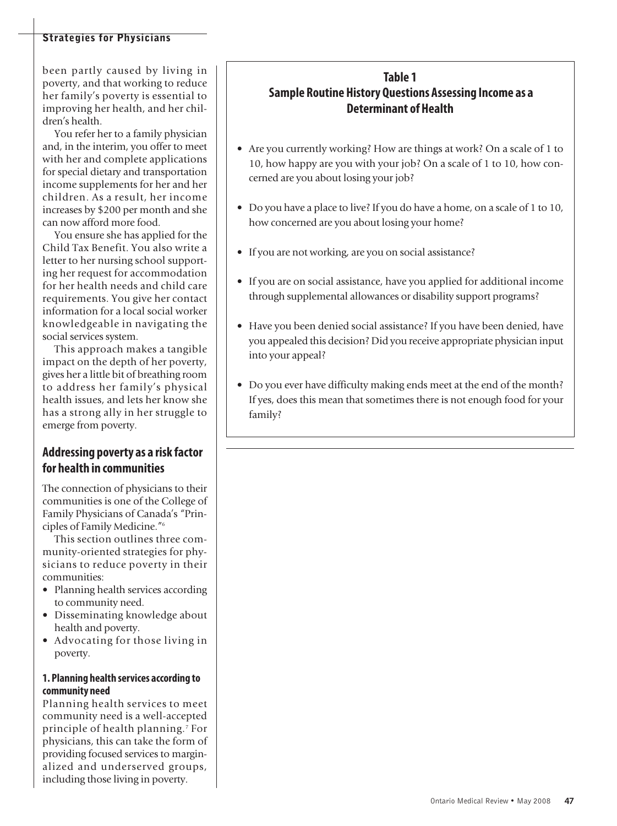### **Strategies for Physicians**

been partly caused by living in poverty, and that working to reduce her family's poverty is essential to improving her health, and her children's health.

You refer her to a family physician and, in the interim, you offer to meet with her and complete applications for special dietary and transportation income supplements for her and her children. As a result, her income increases by \$200 per month and she can now afford more food.

You ensure she has applied for the Child Tax Benefit. You also write a letter to her nursing school supporting her request for accommodation for her health needs and child care requirements. You give her contact information for a local social worker knowledgeable in navigating the social services system.

This approach makes a tangible impact on the depth of her poverty, gives her a little bit of breathing room to address her family's physical health issues, and lets her know she has a strong ally in her struggle to emerge from poverty.

### **Addressing poverty as a risk factor for health in communities**

The connection of physicians to their communities is one of the College of Family Physicians of Canada's "Principles of Family Medicine."6

This section outlines three community-oriented strategies for physicians to reduce poverty in their communities:

- Planning health services according to community need.
- Disseminating knowledge about health and poverty.
- Advocating for those living in poverty.

### **1. Planning health services according to community need**

Planning health services to meet community need is a well-accepted principle of health planning. <sup>7</sup> For physicians, this can take the form of providing focused services to marginalized and underserved groups, including those living in poverty.

## **Table 1 Sample Routine History Questions Assessing Income as a Determinant of Health**

- Are you currently working? How are things at work? On a scale of 1 to 10, how happy are you with your job? On a scale of 1 to 10, how concerned are you about losing your job?
- Do you have a place to live? If you do have a home, on a scale of 1 to 10, how concerned are you about losing your home?
- If you are not working, are you on social assistance?
- If you are on social assistance, have you applied for additional income through supplemental allowances or disability support programs?
- Have you been denied social assistance? If you have been denied, have you appealed this decision? Did you receive appropriate physician input into your appeal?
- Do you ever have difficulty making ends meet at the end of the month? If yes, does this mean that sometimes there is not enough food for your family?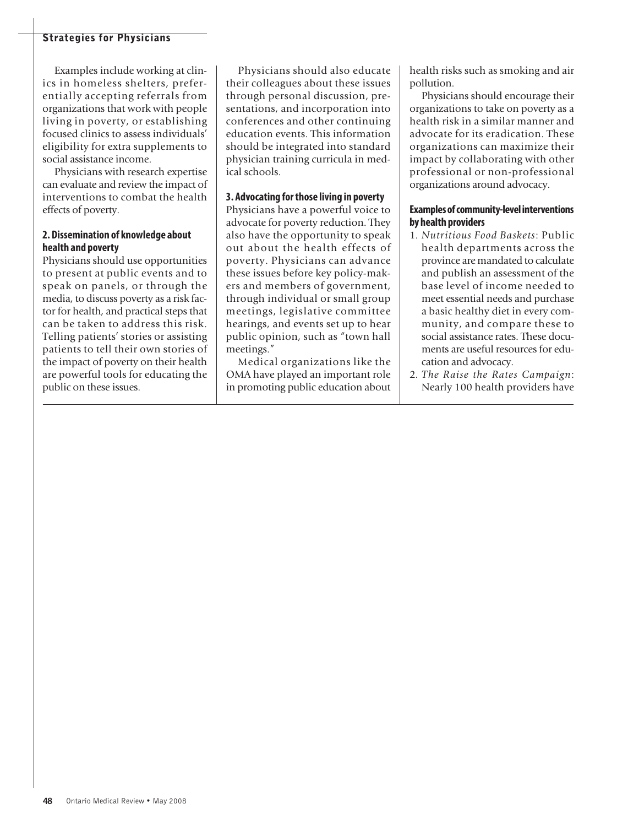### **Strategies for Physicians**

Examples include working at clinics in homeless shelters, preferentially accepting referrals from organizations that work with people living in poverty, or establishing focused clinics to assess individuals' eligibility for extra supplements to social assistance income.

Physicians with research expertise can evaluate and review the impact of interventions to combat the health effects of poverty.

### **2. Dissemination of knowledge about health and poverty**

Physicians should use opportunities to present at public events and to speak on panels, or through the media, to discuss poverty as a risk factor for health, and practical steps that can be taken to address this risk. Telling patients' stories or assisting patients to tell their own stories of the impact of poverty on their health are powerful tools for educating the public on these issues.

Physicians should also educate their colleagues about these issues through personal discussion, presentations, and incorporation into conferences and other continuing education events. This information should be integrated into standard physician training curricula in medical schools.

### **3. Advocating forthose living in poverty**

Physicians have a powerful voice to advocate for poverty reduction. They also have the opportunity to speak out about the health effects of poverty. Physicians can advance these issues before key policy-makers and members of government, through individual or small group meetings, legislative committee hearings, and events set up to hear public opinion, such as "town hall meetings."

Medical organizations like the OMA have played an important role in promoting public education about health risks such as smoking and air pollution.

Physicians should encourage their organizations to take on poverty as a health risk in a similar manner and advocate for its eradication. These organizations can maximize their impact by collaborating with other professional or non-professional organizations around advocacy.

### **Examplesofcommunity-levelinterventions by health providers**

- 1. *Nutritious Food Baskets*: Public health departments across the province are mandated to calculate and publish an assessment of the base level of income needed to meet essential needs and purchase a basic healthy diet in every community, and compare these to social assistance rates. These documents are useful resources for education and advocacy.
- 2. *The Raise the Rates Campaign*: Nearly 100 health providers have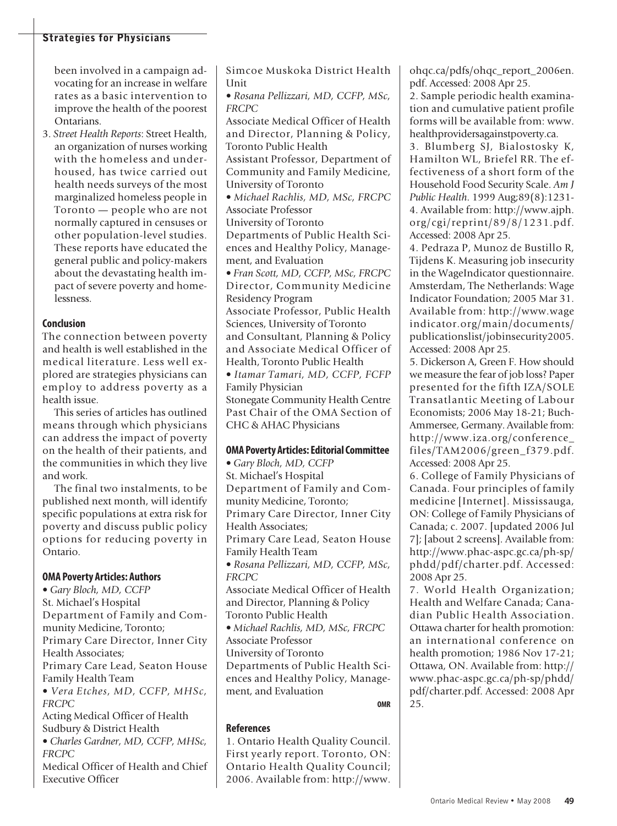### **Strategies for Physicians**

been involved in a campaign advocating for an increase in welfare rates as a basic intervention to improve the health of the poorest Ontarians.

3. *Street Health Reports*: Street Health, an organization of nurses working with the homeless and underhoused, has twice carried out health needs surveys of the most marginalized homeless people in Toronto — people who are not normally captured in censuses or other population-level studies. These reports have educated the general public and policy-makers about the devastating health impact of severe poverty and homelessness.

### **Conclusion**

The connection between poverty and health is well established in the medical literature. Less well explored are strategies physicians can employ to address poverty as a health issue.

This series of articles has outlined means through which physicians can address the impact of poverty on the health of their patients, and the communities in which they live and work.

The final two instalments, to be published next month, will identify specific populations at extra risk for poverty and discuss public policy options for reducing poverty in Ontario.

### **OMA Poverty Articles: Authors**

• *Gary Bloch, MD, CCFP* St. Michael's Hospital Department of Family and Community Medicine, Toronto; Primary Care Director, Inner City Health Associates; Primary Care Lead, Seaton House Family Health Team • *Vera Etches, MD, CCFP, MHSc, FRCPC* Acting Medical Officer of Health Sudbury & District Health • *Charles Gardner, MD, CCFP, MHSc, FRCPC*

Medical Officer of Health and Chief Executive Officer

Simcoe Muskoka District Health **I**Init

• *Rosana Pellizzari, MD, CCFP, MSc, FRCPC*

Associate Medical Officer of Health and Director, Planning & Policy, Toronto Public Health

Assistant Professor, Department of Community and Family Medicine, University of Toronto

• *Michael Rachlis, MD, MSc, FRCPC* Associate Professor

University of Toronto

Departments of Public Health Sciences and Healthy Policy, Management, and Evaluation

• *Fran Scott, MD, CCFP, MSc, FRCPC* Director, Community Medicine Residency Program

Associate Professor, Public Health Sciences, University of Toronto and Consultant, Planning & Policy

and Associate Medical Officer of Health, Toronto Public Health • *Itamar Tamari, MD, CCFP, FCFP*

Family Physician Stonegate Community Health Centre

Past Chair of the OMA Section of CHC & AHAC Physicians

### **OMA** Poverty Articles: Editorial Committee

• *Gary Bloch, MD, CCFP* St. Michael's Hospital Department of Family and Community Medicine, Toronto; Primary Care Director, Inner City Health Associates; Primary Care Lead, Seaton House Family Health Team • *Rosana Pellizzari, MD, CCFP, MSc, FRCPC* Associate Medical Officer of Health and Director, Planning & Policy Toronto Public Health • *Michael Rachlis, MD, MSc, FRCPC* Associate Professor University of Toronto Departments of Public Health Sciences and Healthy Policy, Management, and Evaluation

**OMR**

### **References**

1. Ontario Health Quality Council. First yearly report. Toronto, ON: Ontario Health Quality Council; 2006. Available from: http://www. ohqc.ca/pdfs/ohqc\_report\_2006en. pdf. Accessed: 2008 Apr 25.

2. Sample periodic health examination and cumulative patient profile forms will be available from: www. healthprovidersagainstpoverty.ca.

3. Blumberg SJ, Bialostosky K, Hamilton WL, Briefel RR. The effectiveness of a short form of the Household Food Security Scale. *Am J Public Health*. 1999 Aug;89(8):1231- 4. Available from: http://www.ajph. org/cgi/reprint/89/8/1231.pdf. Accessed: 2008 Apr 25.

4. Pedraza P, Munoz de Bustillo R, Tijdens K. Measuring job insecurity in the WageIndicator questionnaire. Amsterdam, The Netherlands: Wage Indicator Foundation; 2005 Mar 31. Available from: http://www.wage indicator.org/main/documents/ publicationslist/jobinsecurity2005. Accessed: 2008 Apr 25.

5. Dickerson A, Green F. How should we measure the fear of job loss? Paper presented for the fifth IZA/SOLE Transatlantic Meeting of Labour Economists; 2006 May 18-21; Buch-Ammersee, Germany. Available from: http://www.iza.org/conference\_ files/TAM2006/green\_f379.pdf. Accessed: 2008 Apr 25.

6. College of Family Physicians of Canada. Four principles of family medicine [Internet]. Mississauga, ON: College of Family Physicians of Canada; c. 2007. [updated 2006 Jul 7]; [about 2 screens]. Available from: http://www.phac-aspc.gc.ca/ph-sp/ phdd/pdf/charter.pdf. Accessed: 2008 Apr 25.

7. World Health Organization; Health and Welfare Canada; Canadian Public Health Association. Ottawa charter for health promotion: an international conference on health promotion; 1986 Nov 17-21; Ottawa, ON. Available from: http:// www.phac-aspc.gc.ca/ph-sp/phdd/ pdf/charter.pdf. Accessed: 2008 Apr 25.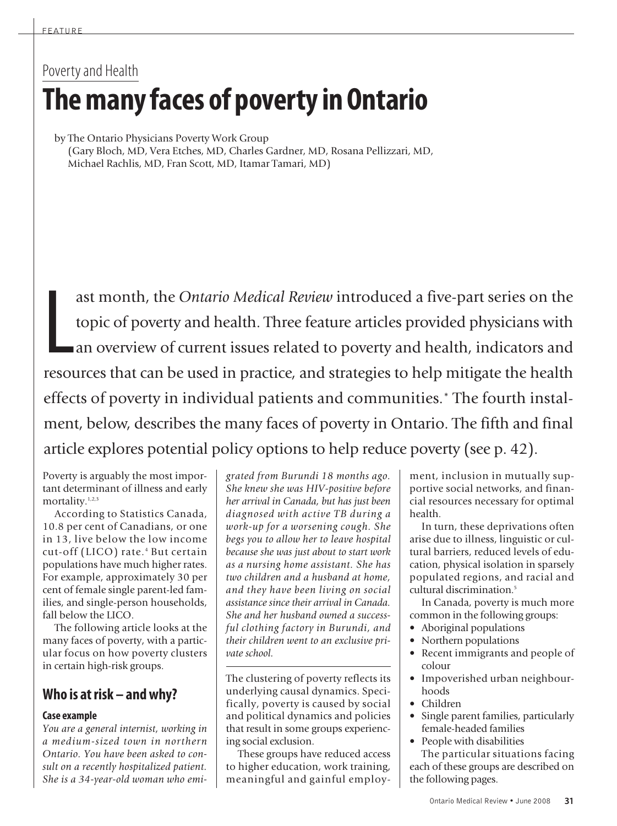# Poverty and Health **Themanyfaces of povertyinOntario**

by The Ontario Physicians Poverty Work Group (Gary Bloch, MD, Vera Etches, MD, Charles Gardner, MD, Rosana Pellizzari, MD, Michael Rachlis, MD, Fran Scott, MD, Itamar Tamari, MD)

L ast month, the *Ontario Medical Review* introduced a five-part series on the topic of poverty and health. Three feature articles provided physicians with an overview of current issues related to poverty and health, indicators and resources that can be used in practice, and strategies to help mitigate the health effects of poverty in individual patients and communities.\* The fourth instalment, below, describes the many faces of poverty in Ontario. The fifth and final article explores potential policy options to help reduce poverty (see p. 42).

Poverty is arguably the most important determinant of illness and early mortality.<sup>1,2,3</sup>

According to Statistics Canada, 10.8 per cent of Canadians, or one in 13, live below the low income cut-off (LICO) rate. <sup>4</sup> But certain populations have much higher rates. For example, approximately 30 per cent of female single parent-led families, and single-person households, fall below the LICO.

The following article looks at the many faces of poverty, with a particular focus on how poverty clusters in certain high-risk groups.

# **Who is atrisk – andwhy?**

### **Case example**

*You are a general internist, working in a medium-sized town in northern Ontario. You have been asked to consult on a recently hospitalized patient. She is a 34-year-old woman who emi-* *grated from Burundi 18 months ago. She knew she was HIV-positive before her arrival in Canada, but has just been diagnosed with active TB during a work-up for a worsening cough. She begs you to allow her to leave hospital because she was just about to start work as a nursing home assistant. She has two children and a husband at home, and they have been living on social assistance since their arrival in Canada. She and her husband owned a successful clothing factory in Burundi, and their children went to an exclusive private school.*

The clustering of poverty reflects its underlying causal dynamics. Specifically, poverty is caused by social and political dynamics and policies that result in some groups experiencing social exclusion.

These groups have reduced access to higher education, work training, meaningful and gainful employment, inclusion in mutually supportive social networks, and financial resources necessary for optimal health.

In turn, these deprivations often arise due to illness, linguistic or cultural barriers, reduced levels of education, physical isolation in sparsely populated regions, and racial and cultural discrimination. 5

In Canada, poverty is much more common in the following groups:

- Aboriginal populations
- Northern populations
- Recent immigrants and people of colour
- Impoverished urban neighbourhoods
- Children
- Single parent families, particularly female-headed families
- People with disabilities The particular situations facing

each of these groups are described on the following pages.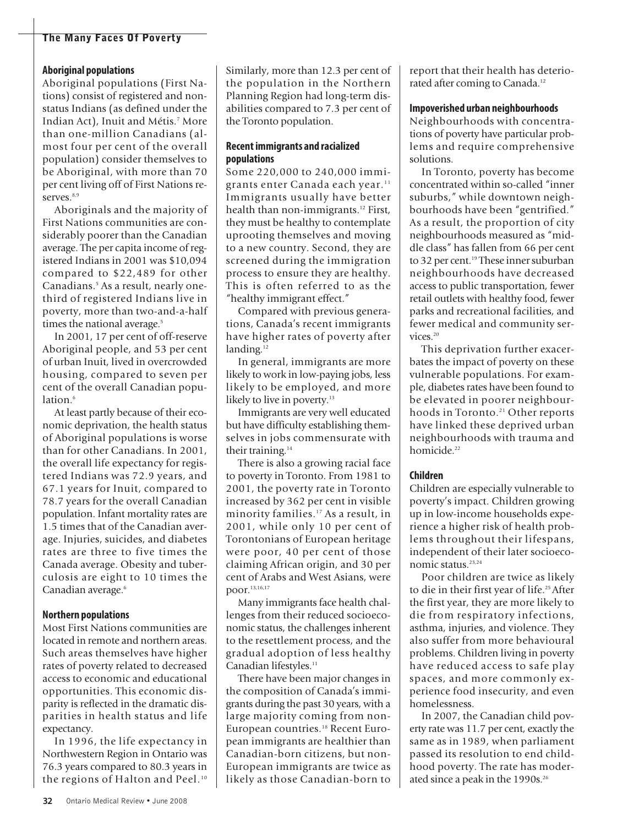### **Aboriginal populations**

Aboriginal populations (First Nations) consist of registered and nonstatus Indians (as defined under the Indian Act), Inuit and Métis. <sup>7</sup> More than one-million Canadians (almost four per cent of the overall population) consider themselves to be Aboriginal, with more than 70 per cent living off of First Nations reserves.<sup>8,9</sup>

Aboriginals and the majority of First Nations communities are considerably poorer than the Canadian average. The per capita income of registered Indians in 2001 was \$10,094 compared to \$22,489 for other Canadians. <sup>5</sup> As a result, nearly onethird of registered Indians live in poverty, more than two-and-a-half times the national average. 5

In 2001, 17 per cent of off-reserve Aboriginal people, and 53 per cent of urban Inuit, lived in overcrowded housing, compared to seven per cent of the overall Canadian population. 6

At least partly because of their economic deprivation, the health status of Aboriginal populations is worse than for other Canadians. In 2001, the overall life expectancy for registered Indians was 72.9 years, and 67.1 years for Inuit, compared to 78.7 years for the overall Canadian population. Infant mortality rates are 1.5 times that of the Canadian average. Injuries, suicides, and diabetes rates are three to five times the Canada average. Obesity and tuberculosis are eight to 10 times the Canadian average. 6

### **Northern populations**

Most First Nations communities are located in remote and northern areas. Such areas themselves have higher rates of poverty related to decreased access to economic and educational opportunities. This economic disparity is reflected in the dramatic disparities in health status and life expectancy.

In 1996, the life expectancy in Northwestern Region in Ontario was 76.3 years compared to 80.3 years in the regions of Halton and Peel. 10

Similarly, more than 12.3 per cent of the population in the Northern Planning Region had long-term disabilities compared to 7.3 per cent of the Toronto population.

### **Recentimmigrants and racialized populations**

Some 220,000 to 240,000 immigrants enter Canada each year. 11 Immigrants usually have better health than non-immigrants. <sup>12</sup> First, they must be healthy to contemplate uprooting themselves and moving to a new country. Second, they are screened during the immigration process to ensure they are healthy. This is often referred to as the "healthy immigrant effect."

Compared with previous generations, Canada's recent immigrants have higher rates of poverty after landing.<sup>12</sup>

In general, immigrants are more likely to work in low-paying jobs, less likely to be employed, and more likely to live in poverty. 13

Immigrants are very well educated but have difficulty establishing themselves in jobs commensurate with their training. 14

There is also a growing racial face to poverty in Toronto. From 1981 to 2001, the poverty rate in Toronto increased by 362 per cent in visible minority families. <sup>17</sup> As a result, in 2001, while only 10 per cent of Torontonians of European heritage were poor, 40 per cent of those claiming African origin, and 30 per cent of Arabs and West Asians, were poor. 13,16,17

Many immigrants face health challenges from their reduced socioeconomic status, the challenges inherent to the resettlement process, and the gradual adoption of less healthy Canadian lifestyles.<sup>11</sup>

There have been major changes in the composition of Canada's immigrants during the past 30 years, with a large majority coming from non-European countries. <sup>18</sup> Recent European immigrants are healthier than Canadian-born citizens, but non-European immigrants are twice as likely as those Canadian-born to report that their health has deteriorated after coming to Canada.<sup>12</sup>

### **Impoverished urban neighbourhoods**

Neighbourhoods with concentrations of poverty have particular problems and require comprehensive solutions.

In Toronto, poverty has become concentrated within so-called "inner suburbs," while downtown neighbourhoods have been "gentrified." As a result, the proportion of city neighbourhoods measured as "middle class" has fallen from 66 per cent to 32 per cent. <sup>19</sup> These innersuburban neighbourhoods have decreased access to public transportation, fewer retail outlets with healthy food, fewer parks and recreational facilities, and fewer medical and community services. 20

This deprivation further exacerbates the impact of poverty on these vulnerable populations. For example, diabetes rates have been found to be elevated in poorer neighbourhoods in Toronto. <sup>21</sup> Other reports have linked these deprived urban neighbourhoods with trauma and homicide. 22

### **Children**

Children are especially vulnerable to poverty's impact. Children growing up in low-income households experience a higher risk of health problems throughout their lifespans, independent of their later socioeconomic status. 23,24

Poor children are twice as likely to die in their first year of life. 25After the first year, they are more likely to die from respiratory infections, asthma, injuries, and violence. They also suffer from more behavioural problems. Children living in poverty have reduced access to safe play spaces, and more commonly experience food insecurity, and even homelessness.

In 2007, the Canadian child poverty rate was 11.7 per cent, exactly the same as in 1989, when parliament passed its resolution to end childhood poverty. The rate has moderated since a peak in the 1990s. 26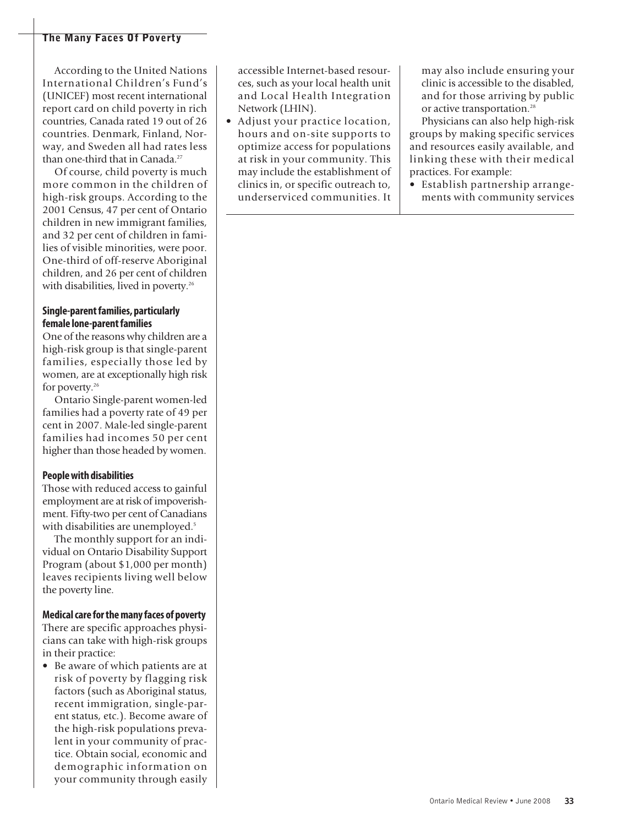According to the United Nations International Children's Fund's (UNICEF) most recent international report card on child poverty in rich countries, Canada rated 19 out of 26 countries. Denmark, Finland, Norway, and Sweden all had rates less than one-third that in Canada. 27

Of course, child poverty is much more common in the children of high-risk groups. According to the 2001 Census, 47 per cent of Ontario children in new immigrant families, and 32 per cent of children in families of visible minorities, were poor. One-third of off-reserve Aboriginal children, and 26 per cent of children with disabilities, lived in poverty. 26

### **Single-parentfamilies, particularly female lone-parentfamilies**

One of the reasons why children are a high-risk group is that single-parent families, especially those led by women, are at exceptionally high risk for poverty. 26

Ontario Single-parent women-led families had a poverty rate of 49 per cent in 2007. Male-led single-parent families had incomes 50 per cent higher than those headed by women.

### **Peoplewith disabilities**

Those with reduced access to gainful employment are at risk of impoverishment. Fifty-two per cent of Canadians with disabilities are unemployed. 5

The monthly support for an individual on Ontario Disability Support Program (about \$1,000 per month) leaves recipients living well below the poverty line.

#### **Medical care for the many faces of poverty**

There are specific approaches physicians can take with high-risk groups in their practice:

• Be aware of which patients are at risk of poverty by flagging risk factors (such as Aboriginal status, recent immigration, single-parent status, etc.). Become aware of the high-risk populations prevalent in your community of practice. Obtain social, economic and demographic information on your community through easily accessible Internet-based resources, such as your local health unit and Local Health Integration Network (LHIN).

• Adjust your practice location, hours and on-site supports to optimize access for populations at risk in your community. This may include the establishment of clinics in, or specific outreach to, underserviced communities. It may also include ensuring your clinic is accessible to the disabled, and for those arriving by public or active transportation. 28

Physicians can also help high-risk groups by making specific services and resources easily available, and linking these with their medical practices. For example:

• Establish partnership arrangements with community services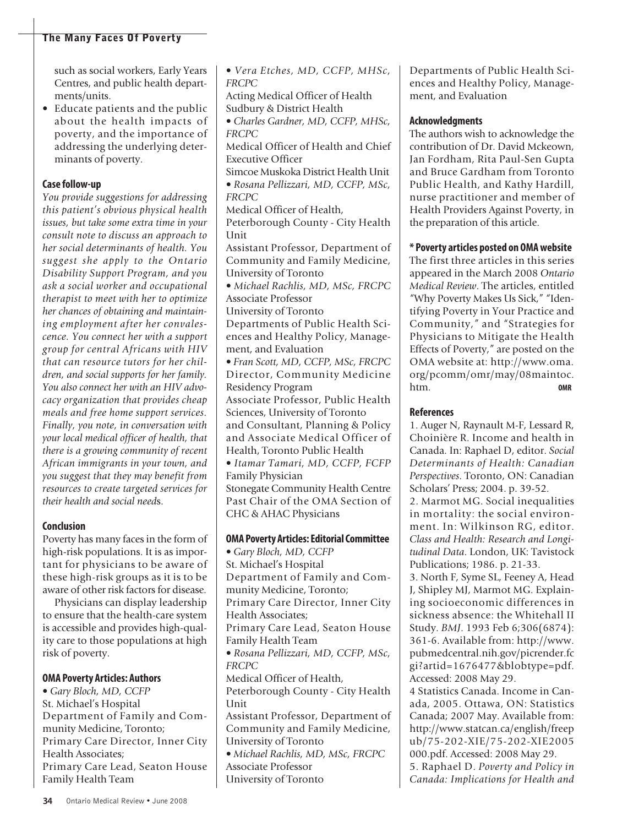such as social workers, Early Years Centres, and public health departments/units.

• Educate patients and the public about the health impacts of poverty, and the importance of addressing the underlying determinants of poverty.

### **Case follow-up**

*You provide suggestions for addressing this patient's obvious physical health issues, but take some extra time in your consult note to discuss an approach to her social determinants of health. You suggest she apply to the Ontario Disability Support Program, and you ask a social worker and occupational therapist to meet with her to optimize her chances of obtaining and maintaining employment after her convalescence. You connect her with a support group for central Africans with HIV that can resource tutors for her children, and social supports for her family. You also connect her with an HIV advocacy organization that provides cheap meals and free home support services. Finally, you note, in conversation with your local medical officer of health, that there is a growing community of recent African immigrants in your town, and you suggest that they may benefit from resources to create targeted services for their health and social need*s.

### **Conclusion**

Poverty has many faces in the form of high-risk populations. It is as important for physicians to be aware of these high-risk groups as it is to be aware of other risk factors for disease.

Physicians can display leadership to ensure that the health-care system is accessible and provides high-quality care to those populations at high risk of poverty.

### **OMA Poverty Articles: Authors**

• *Gary Bloch, MD, CCFP* St. Michael's Hospital Department of Family and Community Medicine, Toronto; Primary Care Director, Inner City Health Associates; Primary Care Lead, Seaton House Family Health Team

• *Vera Etches, MD, CCFP, MHSc, FRCPC* Acting Medical Officer of Health Sudbury & District Health • *Charles Gardner, MD, CCFP, MHSc, FRCPC* Medical Officer of Health and Chief Executive Officer Simcoe Muskoka District Health Unit • *Rosana Pellizzari, MD, CCFP, MSc, FRCPC* Medical Officer of Health, Peterborough County - City Health Unit Assistant Professor, Department of Community and Family Medicine, University of Toronto • *Michael Rachlis, MD, MSc, FRCPC* Associate Professor University of Toronto Departments of Public Health Sciences and Healthy Policy, Management, and Evaluation • *Fran Scott, MD, CCFP, MSc, FRCPC* Director, Community Medicine Residency Program Associate Professor, Public Health Sciences, University of Toronto and Consultant, Planning & Policy and Associate Medical Officer of Health, Toronto Public Health • *Itamar Tamari, MD, CCFP, FCFP* Family Physician Stonegate Community Health Centre Past Chair of the OMA Section of CHC & AHAC Physicians **OMA Poverty Articles:EditorialCommittee** • *Gary Bloch, MD, CCFP* St. Michael's Hospital Department of Family and Community Medicine, Toronto; Primary Care Director, Inner City Health Associates;

Primary Care Lead, Seaton House Family Health Team

• *Rosana Pellizzari, MD, CCFP, MSc, FRCPC*

Medical Officer of Health, Peterborough County - City Health

Unit Assistant Professor, Department of Community and Family Medicine, University of Toronto • *Michael Rachlis, MD, MSc, FRCPC*

Associate Professor University of Toronto Departments of Public Health Sciences and Healthy Policy, Management, and Evaluation

### **Acknowledgments**

The authors wish to acknowledge the contribution of Dr. David Mckeown, Jan Fordham, Rita Paul-Sen Gupta and Bruce Gardham from Toronto Public Health, and Kathy Hardill, nurse practitioner and member of Health Providers Against Poverty, in the preparation of this article.

### **\* Poverty articles posted on OMAwebsite**

The first three articles in this series appeared in the March 2008 *Ontario Medical Review*. The articles, entitled "Why Poverty Makes Us Sick," "Identifying Poverty in Your Practice and Community," and "Strategies for Physicians to Mitigate the Health Effects of Poverty," are posted on the OMA website at: http://www.oma. org/pcomm/omr/may/08maintoc. htm. **OMR**

### **References**

1. Auger N, Raynault M-F, Lessard R, Choinière R. Income and health in Canada. In: Raphael D, editor. *Social Determinants of Health: Canadian Perspectives*. Toronto, ON: Canadian Scholars' Press; 2004. p. 39-52.

2. Marmot MG. Social inequalities in mortality: the social environment. In: Wilkinson RG, editor. *Class and Health: Research and Longitudinal Data*. London, UK: Tavistock Publications; 1986. p. 21-33.

3. North F, Syme SL, Feeney A, Head J, Shipley MJ, Marmot MG. Explaining socioeconomic differences in sickness absence: the Whitehall II Study. *BMJ*. 1993 Feb 6;306(6874): 361-6. Available from: http://www. pubmedcentral.nih.gov/picrender.fc gi?artid=1676477&blobtype=pdf. Accessed: 2008 May 29.

4 Statistics Canada. Income in Canada, 2005. Ottawa, ON: Statistics Canada; 2007 May. Available from: http://www.statcan.ca/english/freep ub/75-202-XIE/75-202-XIE2005 000.pdf. Accessed: 2008 May 29.

5. Raphael D. *Poverty and Policy in Canada: Implications for Health and*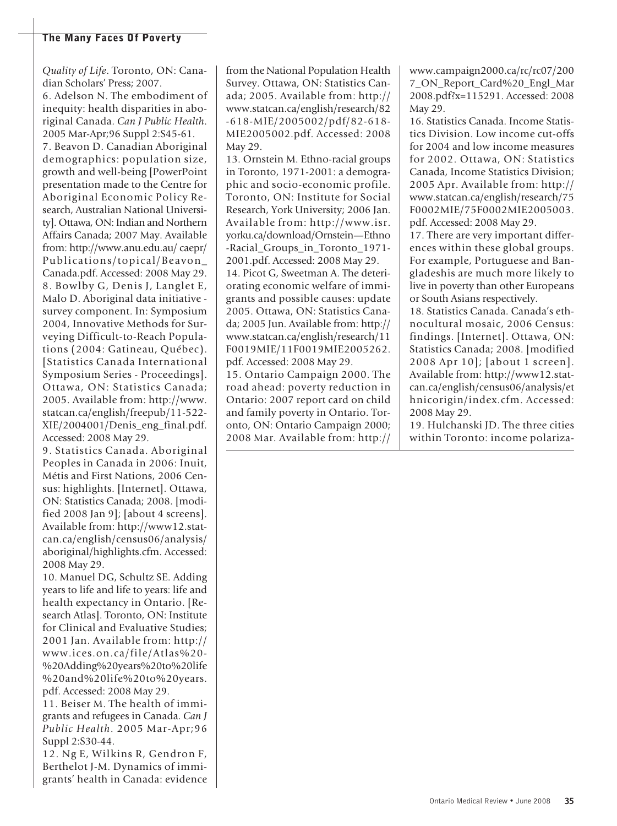*Quality of Life*. Toronto, ON: Canadian Scholars' Press; 2007.

6. Adelson N. The embodiment of inequity: health disparities in aboriginal Canada. *Can J Public Health*. 2005 Mar-Apr;96 Suppl 2:S45-61. 7. Beavon D. Canadian Aboriginal demographics: population size, growth and well-being [PowerPoint presentation made to the Centre for Aboriginal Economic Policy Research, Australian National University]. Ottawa, ON: Indian and Northern Affairs Canada; 2007 May. Available from: http://www.anu.edu.au/ caepr/ Publications/topical/Beavon\_ Canada.pdf. Accessed: 2008 May 29. 8. Bowlby G, Denis J, Langlet E, Malo D. Aboriginal data initiative survey component. In: Symposium 2004, Innovative Methods for Surveying Difficult-to-Reach Populations (2004: Gatineau, Québec). [Statistics Canada International Symposium Series - Proceedings]. Ottawa, ON: Statistics Canada; 2005. Available from: http://www. statcan.ca/english/freepub/11-522- XIE/2004001/Denis\_eng\_final.pdf. Accessed: 2008 May 29.

9. Statistics Canada. Aboriginal Peoples in Canada in 2006: Inuit, Métis and First Nations, 2006 Census: highlights. [Internet]. Ottawa, ON: Statistics Canada; 2008. [modified 2008 Jan 9]; [about 4 screens]. Available from: http://www12.statcan.ca/english/census06/analysis/ aboriginal/highlights.cfm. Accessed: 2008 May 29.

10. Manuel DG, Schultz SE. Adding years to life and life to years: life and health expectancy in Ontario. [Research Atlas]. Toronto, ON: Institute for Clinical and Evaluative Studies; 2001 Jan. Available from: http:// www.ices.on.ca/file/Atlas%20- %20Adding%20years%20to%20life %20and%20life%20to%20years. pdf. Accessed: 2008 May 29.

11. Beiser M. The health of immigrants and refugees in Canada. *Can J Public Health*. 2005 Mar-Apr;96 Suppl 2:S30-44.

12. Ng E, Wilkins R, Gendron F, Berthelot J-M. Dynamics of immigrants' health in Canada: evidence from the National Population Health Survey. Ottawa, ON: Statistics Canada; 2005. Available from: http:// www.statcan.ca/english/research/82 -618-MIE/2005002/pdf/82-618- MIE2005002.pdf. Accessed: 2008 May 29.

13. Ornstein M. Ethno-racial groups in Toronto, 1971-2001: a demographic and socio-economic profile. Toronto, ON: Institute for Social Research, York University; 2006 Jan. Available from: http://www.isr. yorku.ca/download/Ornstein—Ethno -Racial\_Groups\_in\_Toronto\_1971- 2001.pdf. Accessed: 2008 May 29. 14. Picot G, Sweetman A. The deteriorating economic welfare of immigrants and possible causes: update 2005. Ottawa, ON: Statistics Canada; 2005 Jun. Available from: http:// www.statcan.ca/english/research/11 F0019MIE/11F0019MIE2005262.

pdf. Accessed: 2008 May 29. 15. Ontario Campaign 2000. The road ahead: poverty reduction in Ontario: 2007 report card on child and family poverty in Ontario. Toronto, ON: Ontario Campaign 2000; 2008 Mar. Available from: http://

www.campaign2000.ca/rc/rc07/200 7\_ON\_Report\_Card%20\_Engl\_Mar 2008.pdf?x=115291. Accessed: 2008 May 29.

16. Statistics Canada. Income Statistics Division. Low income cut-offs for 2004 and low income measures for 2002. Ottawa, ON: Statistics Canada, Income Statistics Division; 2005 Apr. Available from: http:// www.statcan.ca/english/research/75 F0002MIE/75F0002MIE2005003. pdf. Accessed: 2008 May 29.

17. There are very important differences within these global groups. For example, Portuguese and Bangladeshis are much more likely to live in poverty than other Europeans or South Asians respectively.

18. Statistics Canada. Canada's ethnocultural mosaic, 2006 Census: findings. [Internet]. Ottawa, ON: Statistics Canada; 2008. [modified 2008 Apr 10]; [about 1 screen]. Available from: http://www12.statcan.ca/english/census06/analysis/et hnicorigin/index.cfm. Accessed: 2008 May 29.

19. Hulchanski JD. The three cities within Toronto: income polariza-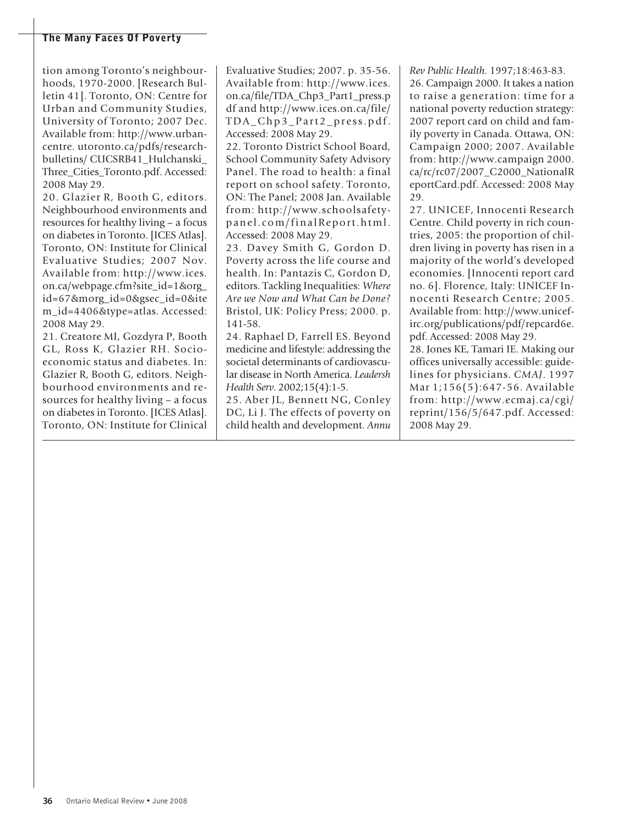tion among Toronto's neighbourhoods, 1970-2000. [Research Bulletin 41]. Toronto, ON: Centre for Urban and Community Studies, University of Toronto; 2007 Dec. Available from: http://www.urbancentre. utoronto.ca/pdfs/researchbulletins/ CUCSRB41\_Hulchanski\_ Three\_Cities\_Toronto.pdf. Accessed: 2008 May 29.

20. Glazier R, Booth G, editors. Neighbourhood environments and resources for healthy living – a focus on diabetes in Toronto. [ICES Atlas]. Toronto, ON: Institute for Clinical Evaluative Studies; 2007 Nov. Available from: http://www.ices. on.ca/webpage.cfm?site\_id=1&org\_ id=67&morg\_id=0&gsec\_id=0&ite m\_id=4406&type=atlas. Accessed: 2008 May 29.

21. Creatore MI, Gozdyra P, Booth GL, Ross K, Glazier RH. Socioeconomic status and diabetes. In: Glazier R, Booth G, editors. Neighbourhood environments and resources for healthy living – a focus on diabetes in Toronto. [ICES Atlas]. Toronto, ON: Institute for Clinical

Evaluative Studies; 2007. p. 35-56. Available from: http://www.ices. on.ca/file/TDA\_Chp3\_Part1\_press.p df and http://www.ices.on.ca/file/ TDA\_Chp3\_Pa rt 2 \_pr e ss.pdf. Accessed: 2008 May 29.

22. Toronto District School Board, School Community Safety Advisory Panel. The road to health: a final report on school safety. Toronto, ON: The Panel; 2008 Jan. Available from: http://www.schoolsafetypanel.com/finalReport.html. Accessed: 2008 May 29.

23. Davey Smith G, Gordon D. Poverty across the life course and health. In: Pantazis C, Gordon D, editors. Tackling Inequalities: *Where Are we Now and What Can be Done?* Bristol, UK: Policy Press; 2000. p. 141-58.

24. Raphael D, Farrell ES. Beyond medicine and lifestyle: addressing the societal determinants of cardiovascular disease in North America. *Leadersh Health Serv*. 2002;15(4):1-5.

25. Aber JL, Bennett NG, Conley DC, Li J. The effects of poverty on child health and development. *Annu*

*Rev Public Health*. 1997;18:463-83.

26. Campaign 2000. It takes a nation to raise a generation: time for a national poverty reduction strategy: 2007 report card on child and family poverty in Canada. Ottawa, ON: Campaign 2000; 2007. Available from: http://www.campaign 2000. ca/rc/rc07/2007\_C2000\_NationalR eportCard.pdf. Accessed: 2008 May 29.

27. UNICEF, Innocenti Research Centre. Child poverty in rich countries, 2005: the proportion of children living in poverty has risen in a majority of the world's developed economies. [Innocenti report card no. 6]. Florence, Italy: UNICEF Innocenti Research Centre; 2005. Available from: http://www.unicefirc.org/publications/pdf/repcard6e. pdf. Accessed: 2008 May 29.

28. Jones KE, Tamari IE. Making our offices universally accessible: guidelines for physicians. *CMAJ*. 1997 Mar 1;156(5):647-56. Available from: http://www.ecmaj.ca/cgi/ reprint/156/5/647.pdf. Accessed: 2008 May 29.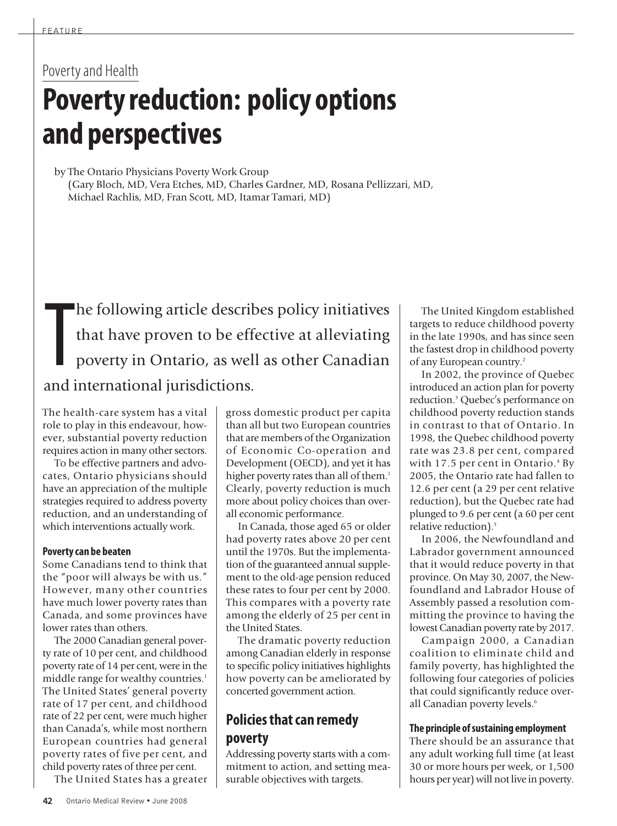# Poverty and Health **Poverty reduction: policy options and perspectives**

by The Ontario Physicians Poverty Work Group (Gary Bloch, MD, Vera Etches, MD, Charles Gardner, MD, Rosana Pellizzari, MD, Michael Rachlis, MD, Fran Scott, MD, Itamar Tamari, MD)

T<br>and i he following article describes policy initiatives that have proven to be effective at alleviating poverty in Ontario, as well as other Canadian and international jurisdictions.

The health-care system has a vital role to play in this endeavour, however, substantial poverty reduction requires action in many other sectors.

To be effective partners and advocates, Ontario physicians should have an appreciation of the multiple strategies required to address poverty reduction, and an understanding of which interventions actually work.

### **Povertycan be beaten**

Some Canadians tend to think that the "poor will always be with us." However, many other countries have much lower poverty rates than Canada, and some provinces have lower rates than others.

The 2000 Canadian general poverty rate of 10 per cent, and childhood poverty rate of 14 per cent, were in the middle range for wealthy countries. 1 The United States' general poverty rate of 17 per cent, and childhood rate of 22 per cent, were much higher than Canada's, while most northern European countries had general poverty rates of five per cent, and child poverty rates of three per cent.

The United States has a greater

gross domestic product per capita than all but two European countries that are members of the Organization of Economic Co-operation and Development (OECD), and yet it has higher poverty rates than all of them.<sup>1</sup> Clearly, poverty reduction is much more about policy choices than overall economic performance.

In Canada, those aged 65 or older had poverty rates above 20 per cent until the 1970s. But the implementation of the guaranteed annual supplement to the old-age pension reduced these rates to four per cent by 2000. This compares with a poverty rate among the elderly of 25 per cent in the United States.

The dramatic poverty reduction among Canadian elderly in response to specific policy initiatives highlights how poverty can be ameliorated by concerted government action.

## **Policies that can remedy poverty**

Addressing poverty starts with a commitment to action, and setting measurable objectives with targets.

The United Kingdom established targets to reduce childhood poverty in the late 1990s, and has since seen the fastest drop in childhood poverty of any European country. 2

In 2002, the province of Quebec introduced an action plan for poverty reduction. <sup>3</sup> Quebec's performance on childhood poverty reduction stands in contrast to that of Ontario. In 1998, the Quebec childhood poverty rate was 23.8 per cent, compared with 17.5 per cent in Ontario. <sup>4</sup> By 2005, the Ontario rate had fallen to 12.6 per cent (a 29 per cent relative reduction), but the Quebec rate had plunged to 9.6 per cent (a 60 per cent relative reduction). 5

In 2006, the Newfoundland and Labrador government announced that it would reduce poverty in that province. On May 30, 2007, the Newfoundland and Labrador House of Assembly passed a resolution committing the province to having the lowest Canadian poverty rate by 2017.

Campaign 2000, a Canadian coalition to eliminate child and family poverty, has highlighted the following four categories of policies that could significantly reduce overall Canadian poverty levels. 6

### **The principle ofsustaining employment**

There should be an assurance that any adult working full time (at least 30 or more hours per week, or 1,500 hours per year) will not live in poverty.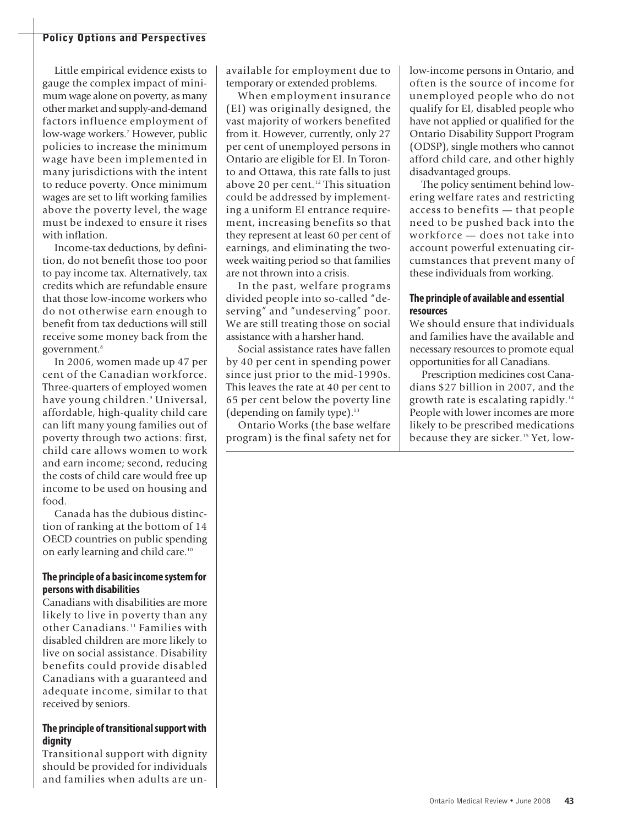Little empirical evidence exists to gauge the complex impact of minimum wage alone on poverty, as many other market and supply-and-demand factors influence employment of low-wage workers. <sup>7</sup> However, public policies to increase the minimum wage have been implemented in many jurisdictions with the intent to reduce poverty. Once minimum wages are set to lift working families above the poverty level, the wage must be indexed to ensure it rises with inflation.

Income-tax deductions, by definition, do not benefit those too poor to pay income tax. Alternatively, tax credits which are refundable ensure that those low-income workers who do not otherwise earn enough to benefit from tax deductions will still receive some money back from the government. 8

In 2006, women made up 47 per cent of the Canadian workforce. Three-quarters of employed women have young children. <sup>9</sup> Universal, affordable, high-quality child care can lift many young families out of poverty through two actions: first, child care allows women to work and earn income; second, reducing the costs of child care would free up income to be used on housing and food.

Canada has the dubious distinction of ranking at the bottom of 14 OECD countries on public spending on early learning and child care.<sup>10</sup>

### **The principle of a basicincome systemfor personswith disabilities**

Canadians with disabilities are more likely to live in poverty than any other Canadians. <sup>11</sup> Families with disabled children are more likely to live on social assistance. Disability benefits could provide disabled Canadians with a guaranteed and adequate income, similar to that received by seniors.

### **The principle oftransitionalsupportwith dignity**

Transitional support with dignity should be provided for individuals and families when adults are unavailable for employment due to temporary or extended problems.

When employment insurance (EI) was originally designed, the vast majority of workers benefited from it. However, currently, only 27 per cent of unemployed persons in Ontario are eligible for EI. In Toronto and Ottawa, this rate falls to just above 20 per cent. <sup>12</sup> This situation could be addressed by implementing a uniform EI entrance requirement, increasing benefits so that they represent at least 60 per cent of earnings, and eliminating the twoweek waiting period so that families are not thrown into a crisis.

In the past, welfare programs divided people into so-called "deserving" and "undeserving" poor. We are still treating those on social assistance with a harsher hand.

Social assistance rates have fallen by 40 per cent in spending power since just prior to the mid-1990s. This leaves the rate at 40 per cent to 65 per cent below the poverty line (depending on family type). 13

Ontario Works (the base welfare program) is the final safety net for low-income persons in Ontario, and often is the source of income for unemployed people who do not qualify for EI, disabled people who have not applied or qualified for the Ontario Disability Support Program (ODSP), single mothers who cannot afford child care, and other highly disadvantaged groups.

The policy sentiment behind lowering welfare rates and restricting access to benefits — that people need to be pushed back into the workforce — does not take into account powerful extenuating circumstances that prevent many of these individuals from working.

### **The principle of available and essential resources**

We should ensure that individuals and families have the available and necessary resources to promote equal opportunities for all Canadians.

Prescription medicines cost Canadians \$27 billion in 2007, and the growth rate is escalating rapidly. 14 People with lower incomes are more likely to be prescribed medications because they are sicker. <sup>15</sup> Yet, low-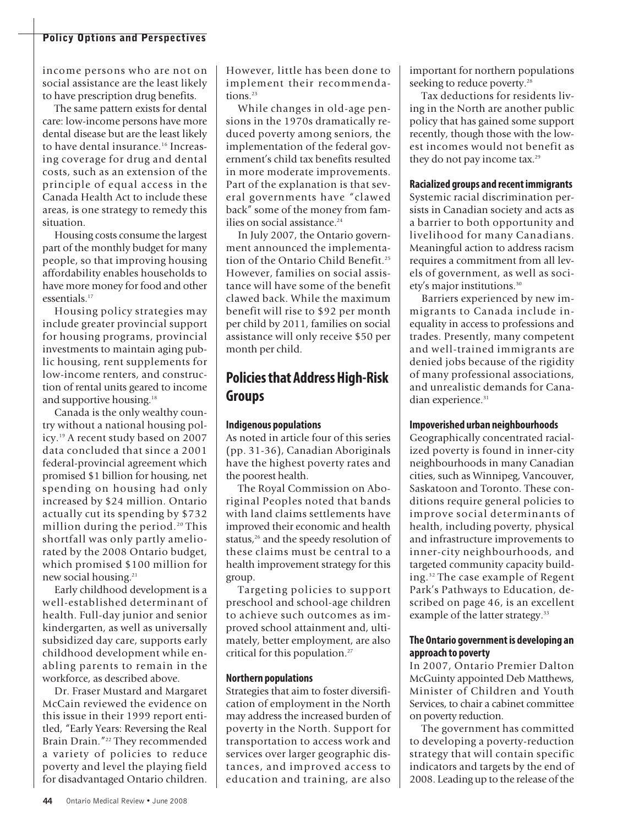income persons who are not on social assistance are the least likely to have prescription drug benefits.

The same pattern exists for dental care: low-income persons have more dental disease but are the least likely to have dental insurance. <sup>16</sup> Increasing coverage for drug and dental costs, such as an extension of the principle of equal access in the Canada Health Act to include these areas, is one strategy to remedy this situation.

Housing costs consume the largest part of the monthly budget for many people, so that improving housing affordability enables households to have more money for food and other essentials. 17

Housing policy strategies may include greater provincial support for housing programs, provincial investments to maintain aging public housing, rent supplements for low-income renters, and construction of rental units geared to income and supportive housing. 18

Canada is the only wealthy country without a national housing policy. <sup>19</sup> A recent study based on 2007 data concluded that since a 2001 federal-provincial agreement which promised \$1 billion for housing, net spending on housing had only increased by \$24 million. Ontario actually cut its spending by \$732 million during the period. <sup>20</sup> This shortfall was only partly ameliorated by the 2008 Ontario budget, which promised \$100 million for new social housing. 21

Early childhood development is a well-established determinant of health. Full-day junior and senior kindergarten, as well as universally subsidized day care, supports early childhood development while enabling parents to remain in the workforce, as described above.

Dr. Fraser Mustard and Margaret McCain reviewed the evidence on this issue in their 1999 report entitled, "Early Years: Reversing the Real Brain Drain."22 They recommended a variety of policies to reduce poverty and level the playing field for disadvantaged Ontario children.

However, little has been done to implement their recommendations. 23

While changes in old-age pensions in the 1970s dramatically reduced poverty among seniors, the implementation of the federal government's child tax benefits resulted in more moderate improvements. Part of the explanation is that several governments have "clawed back" some of the money from families on social assistance. 24

In July 2007, the Ontario government announced the implementation of the Ontario Child Benefit. 25 However, families on social assistance will have some of the benefit clawed back. While the maximum benefit will rise to \$92 per month per child by 2011, families on social assistance will only receive \$50 per month per child.

## **Policiesthat AddressHigh-Risk Groups**

### **Indigenous populations**

As noted in article four of this series (pp. 31-36), Canadian Aboriginals have the highest poverty rates and the poorest health.

The Royal Commission on Aboriginal Peoples noted that bands with land claims settlements have improved their economic and health status, <sup>26</sup> and the speedy resolution of these claims must be central to a health improvement strategy for this group.

Targeting policies to support preschool and school-age children to achieve such outcomes as improved school attainment and, ultimately, better employment, are also critical for this population. 27

### **Northern populations**

Strategies that aim to foster diversification of employment in the North may address the increased burden of poverty in the North. Support for transportation to access work and services over larger geographic distances, and improved access to education and training, are also

important for northern populations seeking to reduce poverty. 28

Tax deductions for residents living in the North are another public policy that has gained some support recently, though those with the lowest incomes would not benefit as they do not pay income tax. 29

### **Racialized groups and recentimmigrants**

Systemic racial discrimination persists in Canadian society and acts as a barrier to both opportunity and livelihood for many Canadians. Meaningful action to address racism requires a commitment from all levels of government, as well as society's major institutions. 30

Barriers experienced by new immigrants to Canada include inequality in access to professions and trades. Presently, many competent and well-trained immigrants are denied jobs because of the rigidity of many professional associations, and unrealistic demands for Canadian experience. 31

### **Impoverished urban neighbourhoods**

Geographically concentrated racialized poverty is found in inner-city neighbourhoods in many Canadian cities, such as Winnipeg, Vancouver, Saskatoon and Toronto. These conditions require general policies to improve social determinants of health, including poverty, physical and infrastructure improvements to inner-city neighbourhoods, and targeted community capacity building. <sup>32</sup> The case example of Regent Park's Pathways to Education, described on page 46, is an excellent example of the latter strategy.<sup>33</sup>

### **The Ontario governmentis developing an approach to poverty**

In 2007, Ontario Premier Dalton McGuinty appointed Deb Matthews, Minister of Children and Youth Services, to chair a cabinet committee on poverty reduction.

The government has committed to developing a poverty-reduction strategy that will contain specific indicators and targets by the end of 2008. Leading up to the release of the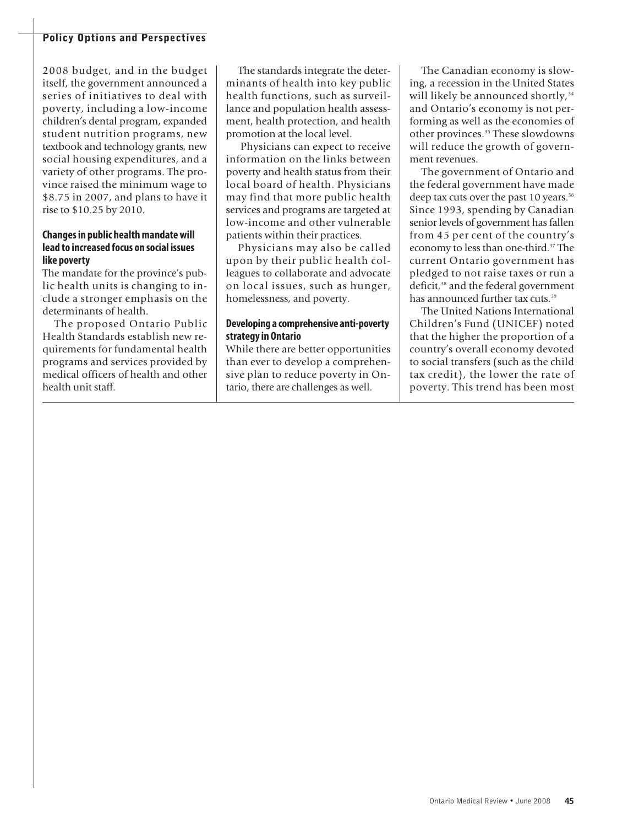2008 budget, and in the budget itself, the government announced a series of initiatives to deal with poverty, including a low-income children's dental program, expanded student nutrition programs, new textbook and technology grants, new social housing expenditures, and a variety of other programs. The province raised the minimum wage to \$8.75 in 2007, and plans to have it rise to \$10.25 by 2010.

### **Changesin public healthmandatewill lead to increased focus on social issues like poverty**

The mandate for the province's public health units is changing to include a stronger emphasis on the determinants of health.

The proposed Ontario Public Health Standards establish new requirements for fundamental health programs and services provided by medical officers of health and other health unit staff.

The standards integrate the determinants of health into key public health functions, such as surveillance and population health assessment, health protection, and health promotion at the local level.

Physicians can expect to receive information on the links between poverty and health status from their local board of health. Physicians may find that more public health services and programs are targeted at low-income and other vulnerable patients within their practices.

Physicians may also be called upon by their public health colleagues to collaborate and advocate on local issues, such as hunger, homelessness, and poverty.

### **Developing a comprehensive anti-poverty strategyin Ontario**

While there are better opportunities than ever to develop a comprehensive plan to reduce poverty in Ontario, there are challenges as well.

The Canadian economy is slowing, a recession in the United States will likely be announced shortly, 34 and Ontario's economy is not performing as well as the economies of other provinces. <sup>35</sup> These slowdowns will reduce the growth of government revenues.

The government of Ontario and the federal government have made deep tax cuts over the past 10 years. 36 Since 1993, spending by Canadian senior levels of government has fallen from 45 per cent of the country's economy to less than one-third. <sup>37</sup> The current Ontario government has pledged to not raise taxes or run a deficit, <sup>38</sup> and the federal government has announced further tax cuts. 39

The United Nations International Children's Fund (UNICEF) noted that the higher the proportion of a country's overall economy devoted to social transfers (such as the child tax credit), the lower the rate of poverty. This trend has been most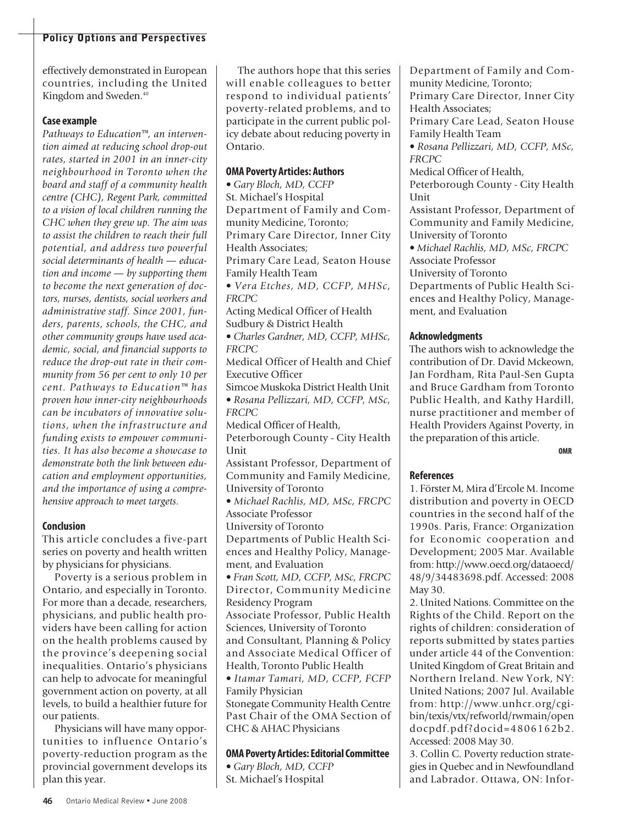effectively demonstrated in European countries, including the United Kingdom and Sweden. 40

### **Case example**

*Pathways to Education™, an intervention aimed at reducing school drop-out rates, started in 2001 in an inner-city neighbourhood in Toronto when the board and staff of a community health centre (CHC), Regent Park, committed to a vision of local children running the CHC when they grew up. The aim was to assist the children to reach their full potential, and address two powerful social determinants of health — education and income — by supporting them to become the next generation of doctors, nurses, dentists, social workers and administrative staff. Since 2001, funders, parents, schools, the CHC, and other community groups have used academic, social, and financial supports to reduce the drop-out rate in their community from 56 per cent to only 10 per cent. Pathways to Education™ has proven how inner-city neighbourhoods can be incubators of innovative solutions, when the infrastructure and funding exists to empower communities. It has also become a showcase to demonstrate both the link between education and employment opportunities, and the importance of using a comprehensive approach to meet targets.*

### **Conclusion**

This article concludes a five-part series on poverty and health written by physicians for physicians.

Poverty is a serious problem in Ontario, and especially in Toronto. For more than a decade, researchers, physicians, and public health providers have been calling for action on the health problems caused by the province's deepening social inequalities. Ontario's physicians can help to advocate for meaningful government action on poverty, at all levels, to build a healthier future for our patients.

Physicians will have many opportunities to influence Ontario's poverty-reduction program as the provincial government develops its plan this year.

The authors hope that this series will enable colleagues to better respond to individual patients' poverty-related problems, and to participate in the current public policy debate about reducing poverty in Ontario.

### **OMA Poverty Articles: Authors**

• *Gary Bloch, MD, CCFP* St. Michael's Hospital Department of Family and Community Medicine, Toronto; Primary Care Director, Inner City Health Associates; Primary Care Lead, Seaton House Family Health Team • *Vera Etches, MD, CCFP, MHSc, FRCPC* Acting Medical Officer of Health Sudbury & District Health • *Charles Gardner, MD, CCFP, MHSc, FRCPC* Medical Officer of Health and Chief Executive Officer Simcoe Muskoka District Health Unit • *Rosana Pellizzari, MD, CCFP, MSc, FRCPC* Medical Officer of Health, Peterborough County - City Health Unit Assistant Professor, Department of Community and Family Medicine, University of Toronto • *Michael Rachlis, MD, MSc, FRCPC* Associate Professor University of Toronto Departments of Public Health Sciences and Healthy Policy, Management, and Evaluation • *Fran Scott, MD, CCFP, MSc, FRCPC* Director, Community Medicine Residency Program Associate Professor, Public Health Sciences, University of Toronto and Consultant, Planning & Policy and Associate Medical Officer of Health, Toronto Public Health • *Itamar Tamari, MD, CCFP, FCFP* Family Physician Stonegate Community Health Centre Past Chair of the OMA Section of CHC & AHAC Physicians

**OMA Poverty Articles:EditorialCommittee**

• *Gary Bloch, MD, CCFP* St. Michael's Hospital

Department of Family and Community Medicine, Toronto; Primary Care Director, Inner City

Health Associates;

Primary Care Lead, Seaton House Family Health Team

• *Rosana Pellizzari, MD, CCFP, MSc, FRCPC*

Medical Officer of Health,

Peterborough County - City Health Unit

Assistant Professor, Department of Community and Family Medicine, University of Toronto

• *Michael Rachlis, MD, MSc, FRCPC* Associate Professor

University of Toronto

Departments of Public Health Sciences and Healthy Policy, Management, and Evaluation

### **Acknowledgments**

The authors wish to acknowledge the contribution of Dr. David Mckeown, Jan Fordham, Rita Paul-Sen Gupta and Bruce Gardham from Toronto Public Health, and Kathy Hardill, nurse practitioner and member of Health Providers Against Poverty, in the preparation of this article.

**OMR**

### **References**

1. Förster M, Mira d'Ercole M. Income distribution and poverty in OECD countries in the second half of the 1990s. Paris, France: Organization for Economic cooperation and Development; 2005 Mar. Available from: http://www.oecd.org/dataoecd/ 48/9/34483698.pdf. Accessed: 2008 May 30.

2. United Nations. Committee on the Rights of the Child. Report on the rights of children: consideration of reports submitted by states parties under article 44 of the Convention: United Kingdom of Great Britain and Northern Ireland. New York, NY: United Nations; 2007 Jul. Available from: http://www.unhcr.org/cgibin/texis/vtx/refworld/rwmain/open docpdf.pdf?docid=4806162b2. Accessed: 2008 May 30.

3. Collin C. Poverty reduction strategies in Quebec and in Newfoundland and Labrador. Ottawa, ON: Infor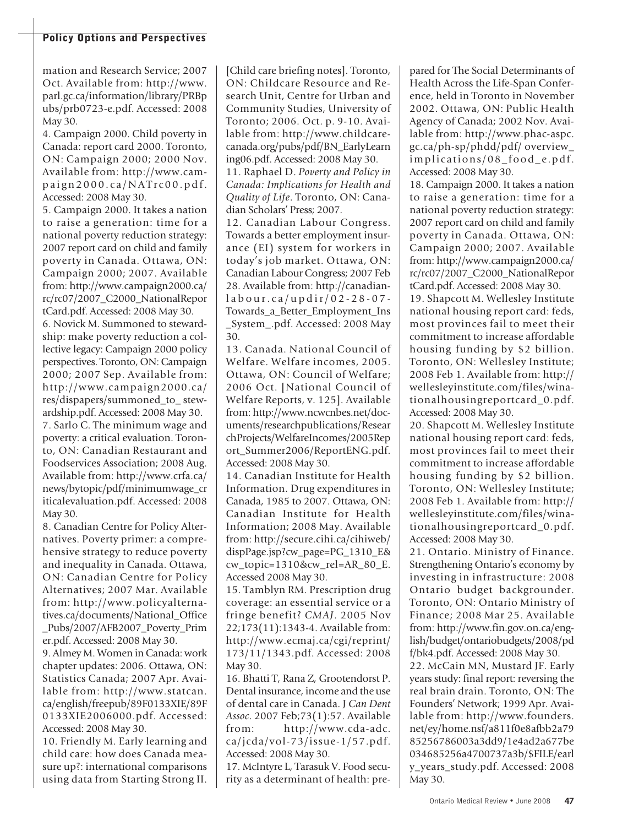mation and Research Service; 2007 Oct. Available from: http://www. parl.gc.ca/information/library/PRBp ubs/prb0723-e.pdf. Accessed: 2008 May 30.

4. Campaign 2000. Child poverty in Canada: report card 2000. Toronto, ON: Campaign 2000; 2000 Nov. Available from: http://www.cam $p \alpha$ ign 2000.ca/NATrc00.pdf. Accessed: 2008 May 30.

5. Campaign 2000. It takes a nation to raise a generation: time for a national poverty reduction strategy: 2007 report card on child and family poverty in Canada. Ottawa, ON: Campaign 2000; 2007. Available from: http://www.campaign2000.ca/ rc/rc07/2007\_C2000\_NationalRepor

tCard.pdf. Accessed: 2008 May 30. 6. Novick M. Summoned to stewardship: make poverty reduction a collective legacy: Campaign 2000 policy perspectives. Toronto, ON: Campaign 2000; 2007 Sep. Available from: http://www.campaign2000.ca/ res/dispapers/summoned\_to\_ stewardship.pdf. Accessed: 2008 May 30. 7. Sarlo C. The minimum wage and poverty: a critical evaluation. Toronto, ON: Canadian Restaurant and Foodservices Association; 2008 Aug. Available from: http://www.crfa.ca/ news/bytopic/pdf/minimumwage\_cr iticalevaluation.pdf. Accessed: 2008 May 30.

8. Canadian Centre for Policy Alternatives. Poverty primer: a comprehensive strategy to reduce poverty and inequality in Canada. Ottawa, ON: Canadian Centre for Policy Alternatives; 2007 Mar. Available from: http://www.policyalternatives.ca/documents/National\_Office \_Pubs/2007/AFB2007\_Poverty\_Prim er.pdf. Accessed: 2008 May 30.

9. Almey M. Women in Canada: work chapter updates: 2006. Ottawa, ON: Statistics Canada; 2007 Apr. Available from: http://www.statcan. ca/english/freepub/89F0133XIE/89F 0133XIE2006000.pdf. Accessed: Accessed: 2008 May 30.

10. Friendly M. Early learning and child care: how does Canada measure up?: international comparisons using data from Starting Strong II.

[Child care briefing notes]. Toronto, ON: Childcare Resource and Research Unit, Centre for Urban and Community Studies, University of Toronto; 2006. Oct. p. 9-10. Available from: http://www.childcarecanada.org/pubs/pdf/BN\_EarlyLearn ing06.pdf. Accessed: 2008 May 30.

11. Raphael D. *Poverty and Policy in Canada: Implications for Health and Quality of Life*. Toronto, ON: Canadian Scholars' Press; 2007.

12. Canadian Labour Congress. Towards a better employment insurance (EI) system for workers in today's job market. Ottawa, ON: Canadian Labour Congress; 2007 Feb 28. Available from: http://canadianl a b o u r. c a / u p d ir/ 0 2 - 2 8 - 0 7 - Towards\_a\_Better\_Employment\_Ins \_System\_.pdf. Accessed: 2008 May 30.

13. Canada. National Council of Welfare. Welfare incomes, 2005. Ottawa, ON: Council of Welfare; 2006 Oct. [National Council of Welfare Reports, v. 125]. Available from: http://www.ncwcnbes.net/documents/researchpublications/Resear chProjects/WelfareIncomes/2005Rep ort\_Summer2006/ReportENG.pdf. Accessed: 2008 May 30.

14. Canadian Institute for Health Information. Drug expenditures in Canada, 1985 to 2007. Ottawa, ON: Canadian Institute for Health Information; 2008 May. Available from: http://secure.cihi.ca/cihiweb/ dispPage.jsp?cw\_page=PG\_1310\_E& cw\_topic=1310&cw\_rel=AR\_80\_E. Accessed 2008 May 30.

15. Tamblyn RM. Prescription drug coverage: an essential service or a fringe benefit? *CMAJ*. 2005 Nov 22;173(11):1343-4. Available from: http://www.ecmaj.ca/cgi/reprint/ 173/11/1343.pdf. Accessed: 2008 May 30.

16. Bhatti T, Rana Z, Grootendorst P. Dental insurance, income and the use of dental care in Canada. J *Can Dent Assoc*. 2007 Feb;73(1):57. Available from: http://www.cda-adc. ca/jcda/vol-73/issue-1/57.pdf. Accessed: 2008 May 30.

17. McIntyre L, Tarasuk V. Food security as a determinant of health: prepared for The Social Determinants of Health Across the Life-Span Conference, held in Toronto in November 2002. Ottawa, ON: Public Health Agency of Canada; 2002 Nov. Available from: http://www.phac-aspc. gc.ca/ph-sp/phdd/pdf/ overview\_ implications/08\_food\_e.pdf. Accessed: 2008 May 30.

18. Campaign 2000. It takes a nation to raise a generation: time for a national poverty reduction strategy: 2007 report card on child and family poverty in Canada. Ottawa, ON: Campaign 2000; 2007. Available from: http://www.campaign2000.ca/ rc/rc07/2007\_C2000\_NationalRepor tCard.pdf. Accessed: 2008 May 30.

19. Shapcott M. Wellesley Institute national housing report card: feds, most provinces fail to meet their commitment to increase affordable housing funding by \$2 billion. Toronto, ON: Wellesley Institute; 2008 Feb 1. Available from: http:// wellesleyinstitute.com/files/winationalhousingreportcard\_0.pdf. Accessed: 2008 May 30.

20. Shapcott M. Wellesley Institute national housing report card: feds, most provinces fail to meet their commitment to increase affordable housing funding by \$2 billion. Toronto, ON: Wellesley Institute; 2008 Feb 1. Available from: http:// wellesleyinstitute.com/files/winationalhousingreportcard\_0.pdf. Accessed: 2008 May 30.

21. Ontario. Ministry of Finance. Strengthening Ontario's economy by investing in infrastructure: 2008 Ontario budget backgrounder. Toronto, ON: Ontario Ministry of Finance; 2008 Mar 25. Available from: http://www.fin.gov.on.ca/english/budget/ontariobudgets/2008/pd f/bk4.pdf. Accessed: 2008 May 30. 22. McCain MN, Mustard JF. Early years study: final report: reversing the real brain drain. Toronto, ON: The Founders' Network; 1999 Apr. Available from: http://www.founders. net/ey/home.nsf/a811f0e8afbb2a79 85256786003a3dd9/1e4ad2a677be 034685256a4700737a3b/\$FILE/earl y\_years\_study.pdf. Accessed: 2008 May 30.